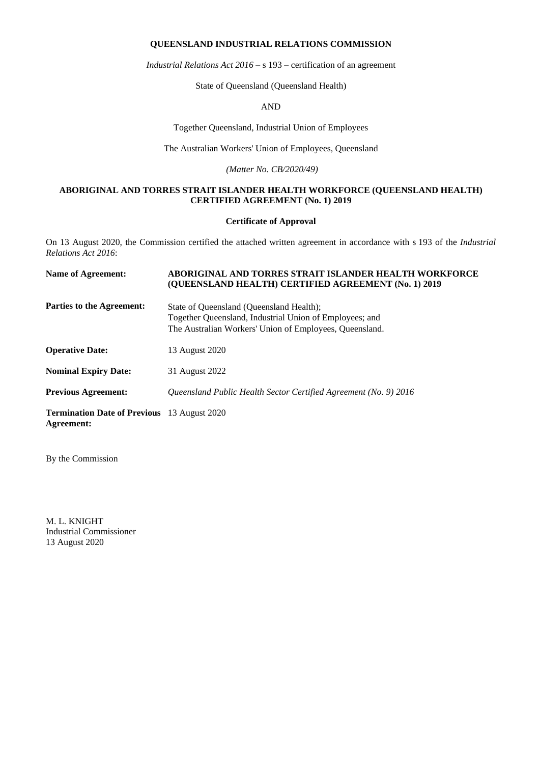# **QUEENSLAND INDUSTRIAL RELATIONS COMMISSION**

*Industrial Relations Act 2016 –* s 193 – certification of an agreement

State of Queensland (Queensland Health)

#### AND

Together Queensland, Industrial Union of Employees

The Australian Workers' Union of Employees, Queensland

*(Matter No. CB/2020/49)*

# **ABORIGINAL AND TORRES STRAIT ISLANDER HEALTH WORKFORCE (QUEENSLAND HEALTH) CERTIFIED AGREEMENT (No. 1) 2019**

#### **Certificate of Approval**

On 13 August 2020, the Commission certified the attached written agreement in accordance with s 193 of the *Industrial Relations Act 2016*:

| <b>Name of Agreement:</b>                                               | ABORIGINAL AND TORRES STRAIT ISLANDER HEALTH WORKFORCE<br>(QUEENSLAND HEALTH) CERTIFIED AGREEMENT (No. 1) 2019                                                 |
|-------------------------------------------------------------------------|----------------------------------------------------------------------------------------------------------------------------------------------------------------|
| <b>Parties to the Agreement:</b>                                        | State of Queensland (Queensland Health);<br>Together Queensland, Industrial Union of Employees; and<br>The Australian Workers' Union of Employees, Queensland. |
| <b>Operative Date:</b>                                                  | 13 August 2020                                                                                                                                                 |
| <b>Nominal Expiry Date:</b>                                             | 31 August 2022                                                                                                                                                 |
| <b>Previous Agreement:</b>                                              | Queensland Public Health Sector Certified Agreement (No. 9) 2016                                                                                               |
| <b>Termination Date of Previous</b> 13 August 2020<br><b>Agreement:</b> |                                                                                                                                                                |

By the Commission

M. L. KNIGHT Industrial Commissioner 13 August 2020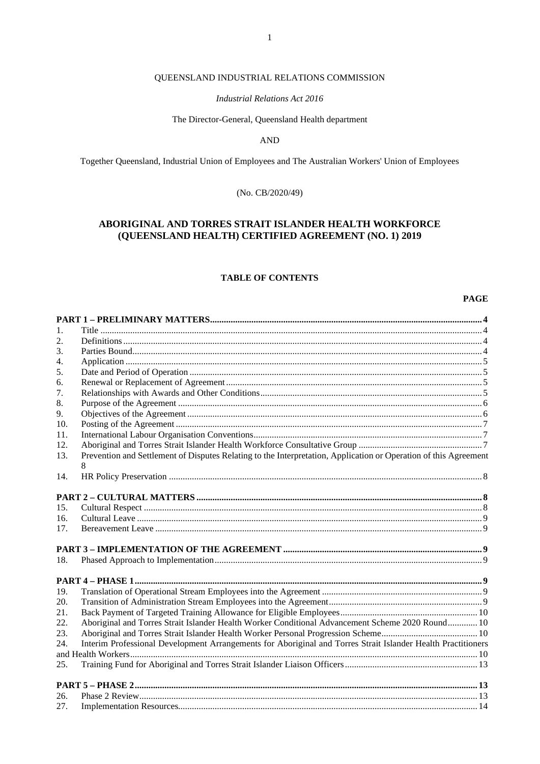# QUEENSLAND INDUSTRIAL RELATIONS COMMISSION

# **Industrial Relations Act 2016**

#### The Director-General, Queensland Health department

**AND** 

Together Queensland, Industrial Union of Employees and The Australian Workers' Union of Employees

(No. CB/2020/49)

# ABORIGINAL AND TORRES STRAIT ISLANDER HEALTH WORKFORCE (QUEENSLAND HEALTH) CERTIFIED AGREEMENT (NO. 1) 2019

# **TABLE OF CONTENTS**

# **PAGE**

| 1.  |                                                                                                                  |  |
|-----|------------------------------------------------------------------------------------------------------------------|--|
| 2.  |                                                                                                                  |  |
| 3.  |                                                                                                                  |  |
| 4.  |                                                                                                                  |  |
| 5.  |                                                                                                                  |  |
| 6.  |                                                                                                                  |  |
| 7.  |                                                                                                                  |  |
| 8.  |                                                                                                                  |  |
| 9.  |                                                                                                                  |  |
| 10. |                                                                                                                  |  |
| 11. |                                                                                                                  |  |
| 12. |                                                                                                                  |  |
| 13. | Prevention and Settlement of Disputes Relating to the Interpretation, Application or Operation of this Agreement |  |
|     | 8                                                                                                                |  |
| 14. |                                                                                                                  |  |
|     |                                                                                                                  |  |
|     |                                                                                                                  |  |
| 15. |                                                                                                                  |  |
| 16. |                                                                                                                  |  |
| 17. |                                                                                                                  |  |
|     |                                                                                                                  |  |
|     |                                                                                                                  |  |
| 18. |                                                                                                                  |  |
|     |                                                                                                                  |  |
|     |                                                                                                                  |  |
| 19. |                                                                                                                  |  |
| 20. |                                                                                                                  |  |
| 21. |                                                                                                                  |  |
| 22. | Aboriginal and Torres Strait Islander Health Worker Conditional Advancement Scheme 2020 Round 10                 |  |
| 23. |                                                                                                                  |  |
| 24. | Interim Professional Development Arrangements for Aboriginal and Torres Strait Islander Health Practitioners     |  |
|     |                                                                                                                  |  |
| 25. |                                                                                                                  |  |
|     |                                                                                                                  |  |
| 26. |                                                                                                                  |  |
| 27. |                                                                                                                  |  |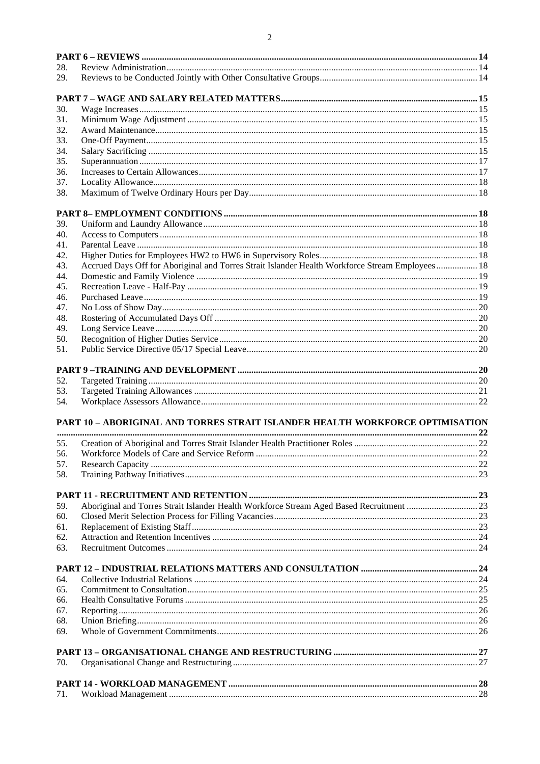| 28.        |                                                                                                 |  |
|------------|-------------------------------------------------------------------------------------------------|--|
| 29.        |                                                                                                 |  |
|            |                                                                                                 |  |
|            |                                                                                                 |  |
| 30.        |                                                                                                 |  |
| 31.        |                                                                                                 |  |
| 32.<br>33. |                                                                                                 |  |
| 34.        |                                                                                                 |  |
| 35.        |                                                                                                 |  |
| 36.        |                                                                                                 |  |
| 37.        |                                                                                                 |  |
| 38.        |                                                                                                 |  |
|            |                                                                                                 |  |
| 39.        |                                                                                                 |  |
| 40.        |                                                                                                 |  |
| 41.        |                                                                                                 |  |
| 42.        |                                                                                                 |  |
| 43.        | Accrued Days Off for Aboriginal and Torres Strait Islander Health Workforce Stream Employees 18 |  |
| 44.        |                                                                                                 |  |
| 45.        |                                                                                                 |  |
| 46.        |                                                                                                 |  |
| 47.        |                                                                                                 |  |
| 48.        |                                                                                                 |  |
| 49.        |                                                                                                 |  |
| 50.        |                                                                                                 |  |
| 51.        |                                                                                                 |  |
|            |                                                                                                 |  |
| 52.        |                                                                                                 |  |
| 53.        |                                                                                                 |  |
| 54.        |                                                                                                 |  |
|            | <b>PART 10 - ABORIGINAL AND TORRES STRAIT ISLANDER HEALTH WORKFORCE OPTIMISATION</b>            |  |
|            |                                                                                                 |  |
| 55.        |                                                                                                 |  |
| 56.        |                                                                                                 |  |
| 57.        |                                                                                                 |  |
| 58.        |                                                                                                 |  |
|            |                                                                                                 |  |
| 59.        |                                                                                                 |  |
| 60.        |                                                                                                 |  |
| 61.        |                                                                                                 |  |
| 62.        |                                                                                                 |  |
| 63.        |                                                                                                 |  |
|            |                                                                                                 |  |
| 64.        |                                                                                                 |  |
| 65.        |                                                                                                 |  |
| 66.        |                                                                                                 |  |
| 67.        |                                                                                                 |  |
| 68.        |                                                                                                 |  |
| 69.        |                                                                                                 |  |
|            |                                                                                                 |  |
| 70.        |                                                                                                 |  |
|            |                                                                                                 |  |
| 71.        |                                                                                                 |  |
|            |                                                                                                 |  |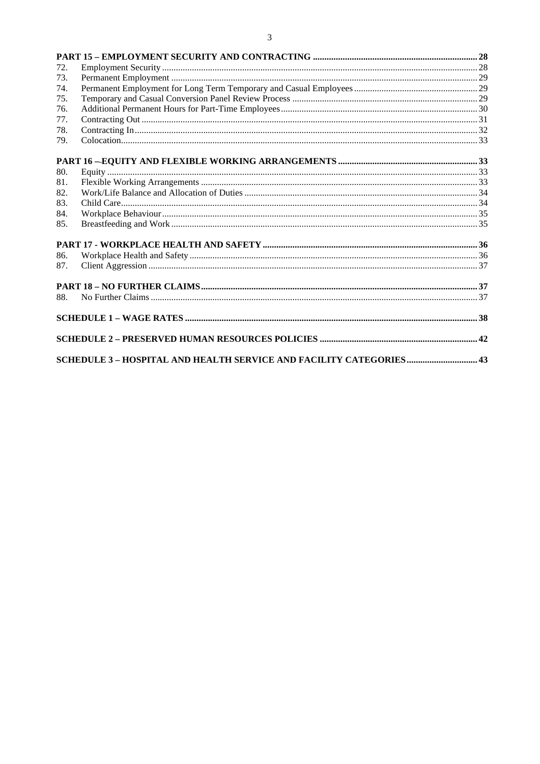| 72. |  |
|-----|--|
| 73. |  |
| 74. |  |
| 75. |  |
| 76. |  |
| 77. |  |
| 78. |  |
| 79. |  |
|     |  |
|     |  |
| 80. |  |
| 81. |  |
| 82. |  |
| 83. |  |
| 84. |  |
| 85. |  |
|     |  |
| 86. |  |
| 87. |  |
|     |  |
| 88. |  |
|     |  |
|     |  |
|     |  |
|     |  |

# $\overline{\mathbf{3}}$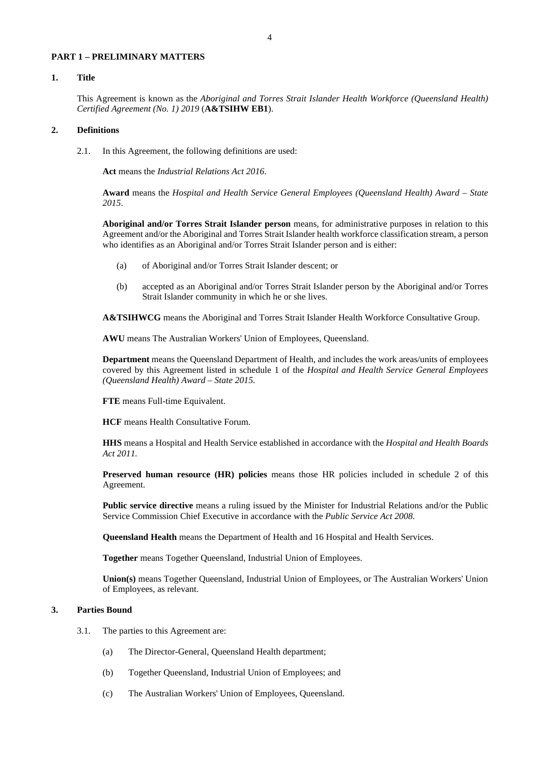#### <span id="page-4-0"></span>**PART 1 – PRELIMINARY MATTERS**

# <span id="page-4-1"></span>**1. Title**

This Agreement is known as the *Aboriginal and Torres Strait Islander Health Workforce (Queensland Health) Certified Agreement (No. 1) 2019* (**A&TSIHW EB1**).

#### <span id="page-4-2"></span>**2. Definitions**

2.1. In this Agreement, the following definitions are used:

**Act** means the *Industrial Relations Act 2016*.

**Award** means the *Hospital and Health Service General Employees (Queensland Health) Award – State 2015*.

**Aboriginal and/or Torres Strait Islander person** means, for administrative purposes in relation to this Agreement and/or the Aboriginal and Torres Strait Islander health workforce classification stream, a person who identifies as an Aboriginal and/or Torres Strait Islander person and is either:

- (a) of Aboriginal and/or Torres Strait Islander descent; or
- (b) accepted as an Aboriginal and/or Torres Strait Islander person by the Aboriginal and/or Torres Strait Islander community in which he or she lives.

**A&TSIHWCG** means the Aboriginal and Torres Strait Islander Health Workforce Consultative Group.

**AWU** means The Australian Workers' Union of Employees, Queensland.

**Department** means the Queensland Department of Health, and includes the work areas/units of employees covered by this Agreement listed in schedule 1 of the *Hospital and Health Service General Employees (Queensland Health) Award – State 2015.*

**FTE** means Full-time Equivalent.

**HCF** means Health Consultative Forum.

**HHS** means a Hospital and Health Service established in accordance with the *Hospital and Health Boards Act 2011.*

**Preserved human resource (HR) policies** means those HR policies included in schedule 2 of this Agreement.

**Public service directive** means a ruling issued by the Minister for Industrial Relations and/or the Public Service Commission Chief Executive in accordance with the *Public Service Act 2008*.

**Queensland Health** means the Department of Health and 16 Hospital and Health Services.

**Together** means Together Queensland, Industrial Union of Employees.

**Union(s)** means Together Queensland, Industrial Union of Employees, or The Australian Workers' Union of Employees, as relevant.

# <span id="page-4-3"></span>**3. Parties Bound**

- 3.1. The parties to this Agreement are:
	- (a) The Director-General, Queensland Health department;
	- (b) Together Queensland, Industrial Union of Employees; and
	- (c) The Australian Workers' Union of Employees, Queensland.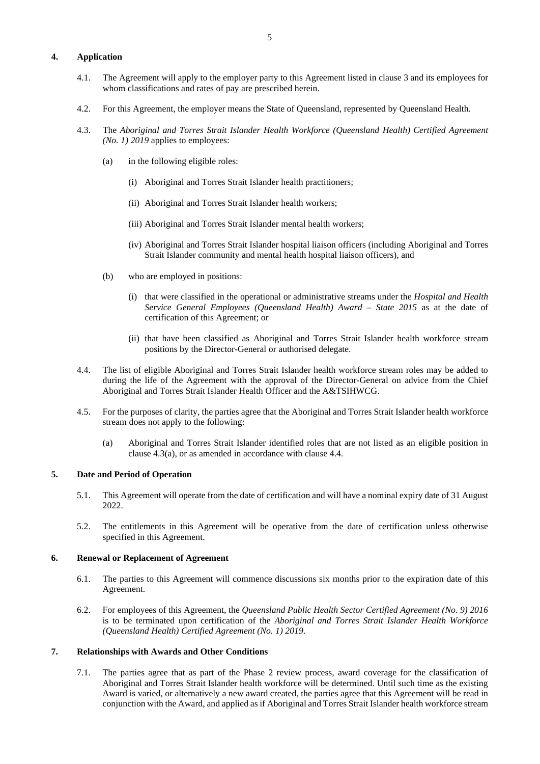# <span id="page-5-0"></span>**4. Application**

- 4.1. The Agreement will apply to the employer party to this Agreement listed in clause [3](#page-4-3) and its employees for whom classifications and rates of pay are prescribed herein.
- 4.2. For this Agreement, the employer means the State of Queensland, represented by Queensland Health.
- <span id="page-5-5"></span><span id="page-5-4"></span>4.3. The *Aboriginal and Torres Strait Islander Health Workforce (Queensland Health) Certified Agreement (No. 1) 2019* applies to employees:
	- (a) in the following eligible roles:
		- (i) Aboriginal and Torres Strait Islander health practitioners;
		- (ii) Aboriginal and Torres Strait Islander health workers;
		- (iii) Aboriginal and Torres Strait Islander mental health workers;
		- (iv) Aboriginal and Torres Strait Islander hospital liaison officers (including Aboriginal and Torres Strait Islander community and mental health hospital liaison officers), and
	- (b) who are employed in positions:
		- (i) that were classified in the operational or administrative streams under the *Hospital and Health Service General Employees (Queensland Health) Award – State 2015* as at the date of certification of this Agreement; or
		- (ii) that have been classified as Aboriginal and Torres Strait Islander health workforce stream positions by the Director-General or authorised delegate.
- <span id="page-5-6"></span>4.4. The list of eligible Aboriginal and Torres Strait Islander health workforce stream roles may be added to during the life of the Agreement with the approval of the Director-General on advice from the Chief Aboriginal and Torres Strait Islander Health Officer and the A&TSIHWCG.
- 4.5. For the purposes of clarity, the parties agree that the Aboriginal and Torres Strait Islander health workforce stream does not apply to the following:
	- (a) Aboriginal and Torres Strait Islander identified roles that are not listed as an eligible position in clause [4.3](#page-5-4)[\(a\),](#page-5-5) or as amended in accordance with claus[e 4.4.](#page-5-6)

#### <span id="page-5-1"></span>**5. Date and Period of Operation**

- 5.1. This Agreement will operate from the date of certification and will have a nominal expiry date of 31 August 2022.
- 5.2. The entitlements in this Agreement will be operative from the date of certification unless otherwise specified in this Agreement.

#### <span id="page-5-2"></span>**6. Renewal or Replacement of Agreement**

- 6.1. The parties to this Agreement will commence discussions six months prior to the expiration date of this Agreement.
- 6.2. For employees of this Agreement, the *Queensland Public Health Sector Certified Agreement (No. 9) 2016* is to be terminated upon certification of the *Aboriginal and Torres Strait Islander Health Workforce (Queensland Health) Certified Agreement (No. 1) 2019*.

# <span id="page-5-3"></span>**7. Relationships with Awards and Other Conditions**

7.1. The parties agree that as part of the Phase 2 review process, award coverage for the classification of Aboriginal and Torres Strait Islander health workforce will be determined. Until such time as the existing Award is varied, or alternatively a new award created, the parties agree that this Agreement will be read in conjunction with the Award, and applied as if Aboriginal and Torres Strait Islander health workforce stream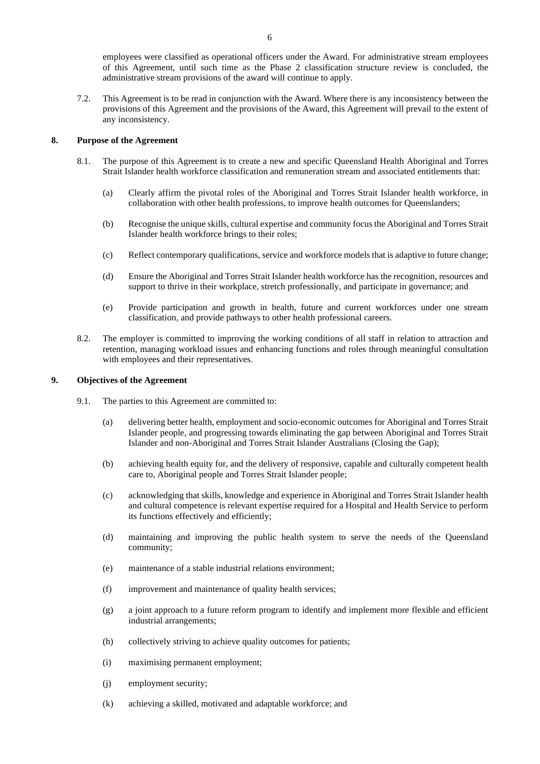employees were classified as operational officers under the Award. For administrative stream employees of this Agreement, until such time as the Phase 2 classification structure review is concluded, the administrative stream provisions of the award will continue to apply.

7.2. This Agreement is to be read in conjunction with the Award. Where there is any inconsistency between the provisions of this Agreement and the provisions of the Award, this Agreement will prevail to the extent of any inconsistency.

#### <span id="page-6-0"></span>**8. Purpose of the Agreement**

- 8.1. The purpose of this Agreement is to create a new and specific Queensland Health Aboriginal and Torres Strait Islander health workforce classification and remuneration stream and associated entitlements that:
	- (a) Clearly affirm the pivotal roles of the Aboriginal and Torres Strait Islander health workforce, in collaboration with other health professions, to improve health outcomes for Queenslanders;
	- (b) Recognise the unique skills, cultural expertise and community focus the Aboriginal and Torres Strait Islander health workforce brings to their roles;
	- (c) Reflect contemporary qualifications, service and workforce models that is adaptive to future change;
	- (d) Ensure the Aboriginal and Torres Strait Islander health workforce has the recognition, resources and support to thrive in their workplace, stretch professionally, and participate in governance; and
	- (e) Provide participation and growth in health, future and current workforces under one stream classification, and provide pathways to other health professional careers.
- 8.2. The employer is committed to improving the working conditions of all staff in relation to attraction and retention, managing workload issues and enhancing functions and roles through meaningful consultation with employees and their representatives.

# <span id="page-6-1"></span>**9. Objectives of the Agreement**

- 9.1. The parties to this Agreement are committed to:
	- (a) delivering better health, employment and socio-economic outcomes for Aboriginal and Torres Strait Islander people, and progressing towards eliminating the gap between Aboriginal and Torres Strait Islander and non-Aboriginal and Torres Strait Islander Australians (Closing the Gap);
	- (b) achieving health equity for, and the delivery of responsive, capable and culturally competent health care to, Aboriginal people and Torres Strait Islander people;
	- (c) acknowledging that skills, knowledge and experience in Aboriginal and Torres Strait Islander health and cultural competence is relevant expertise required for a Hospital and Health Service to perform its functions effectively and efficiently;
	- (d) maintaining and improving the public health system to serve the needs of the Queensland community;
	- (e) maintenance of a stable industrial relations environment;
	- (f) improvement and maintenance of quality health services;
	- (g) a joint approach to a future reform program to identify and implement more flexible and efficient industrial arrangements;
	- (h) collectively striving to achieve quality outcomes for patients;
	- (i) maximising permanent employment;
	- (j) employment security;
	- (k) achieving a skilled, motivated and adaptable workforce; and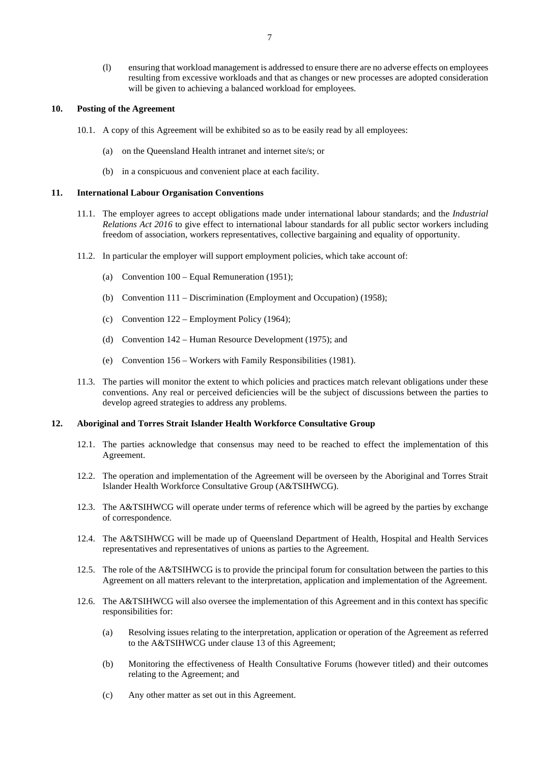(l) ensuring that workload management is addressed to ensure there are no adverse effects on employees resulting from excessive workloads and that as changes or new processes are adopted consideration will be given to achieving a balanced workload for employees.

#### <span id="page-7-0"></span>**10. Posting of the Agreement**

- 10.1. A copy of this Agreement will be exhibited so as to be easily read by all employees:
	- (a) on the Queensland Health intranet and internet site/s; or
	- (b) in a conspicuous and convenient place at each facility.

#### <span id="page-7-1"></span>**11. International Labour Organisation Conventions**

- 11.1. The employer agrees to accept obligations made under international labour standards; and the *Industrial Relations Act 2016* to give effect to international labour standards for all public sector workers including freedom of association, workers representatives, collective bargaining and equality of opportunity.
- 11.2. In particular the employer will support employment policies, which take account of:
	- (a) Convention 100 Equal Remuneration (1951);
	- (b) Convention 111 Discrimination (Employment and Occupation) (1958);
	- (c) Convention 122 Employment Policy (1964);
	- (d) Convention 142 Human Resource Development (1975); and
	- (e) Convention 156 Workers with Family Responsibilities (1981).
- 11.3. The parties will monitor the extent to which policies and practices match relevant obligations under these conventions. Any real or perceived deficiencies will be the subject of discussions between the parties to develop agreed strategies to address any problems.

#### <span id="page-7-2"></span>**12. Aboriginal and Torres Strait Islander Health Workforce Consultative Group**

- 12.1. The parties acknowledge that consensus may need to be reached to effect the implementation of this Agreement.
- 12.2. The operation and implementation of the Agreement will be overseen by the Aboriginal and Torres Strait Islander Health Workforce Consultative Group (A&TSIHWCG).
- 12.3. The A&TSIHWCG will operate under terms of reference which will be agreed by the parties by exchange of correspondence.
- 12.4. The A&TSIHWCG will be made up of Queensland Department of Health, Hospital and Health Services representatives and representatives of unions as parties to the Agreement.
- 12.5. The role of the A&TSIHWCG is to provide the principal forum for consultation between the parties to this Agreement on all matters relevant to the interpretation, application and implementation of the Agreement.
- 12.6. The A&TSIHWCG will also oversee the implementation of this Agreement and in this context has specific responsibilities for:
	- (a) Resolving issues relating to the interpretation, application or operation of the Agreement as referred to the A&TSIHWCG under clause 13 of this Agreement;
	- (b) Monitoring the effectiveness of Health Consultative Forums (however titled) and their outcomes relating to the Agreement; and
	- (c) Any other matter as set out in this Agreement.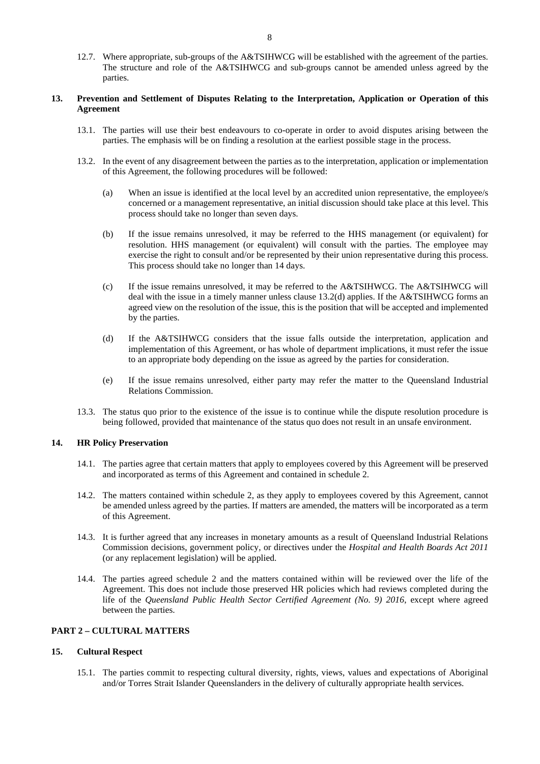12.7. Where appropriate, sub-groups of the A&TSIHWCG will be established with the agreement of the parties. The structure and role of the A&TSIHWCG and sub-groups cannot be amended unless agreed by the

# <span id="page-8-0"></span>**13. Prevention and Settlement of Disputes Relating to the Interpretation, Application or Operation of this Agreement**

- 13.1. The parties will use their best endeavours to co-operate in order to avoid disputes arising between the parties. The emphasis will be on finding a resolution at the earliest possible stage in the process.
- <span id="page-8-6"></span><span id="page-8-4"></span>13.2. In the event of any disagreement between the parties as to the interpretation, application or implementation of this Agreement, the following procedures will be followed:
	- (a) When an issue is identified at the local level by an accredited union representative, the employee/s concerned or a management representative, an initial discussion should take place at this level. This process should take no longer than seven days.
	- (b) If the issue remains unresolved, it may be referred to the HHS management (or equivalent) for resolution. HHS management (or equivalent) will consult with the parties. The employee may exercise the right to consult and/or be represented by their union representative during this process. This process should take no longer than 14 days.
	- (c) If the issue remains unresolved, it may be referred to the A&TSIHWCG. The A&TSIHWCG will deal with the issue in a timely manner unless clause [13.2](#page-8-4)[\(d\)](#page-8-5) applies. If the A&TSIHWCG forms an agreed view on the resolution of the issue, this is the position that will be accepted and implemented by the parties.
	- (d) If the A&TSIHWCG considers that the issue falls outside the interpretation, application and implementation of this Agreement, or has whole of department implications, it must refer the issue to an appropriate body depending on the issue as agreed by the parties for consideration.
	- (e) If the issue remains unresolved, either party may refer the matter to the Queensland Industrial Relations Commission.
- <span id="page-8-5"></span>13.3. The status quo prior to the existence of the issue is to continue while the dispute resolution procedure is being followed, provided that maintenance of the status quo does not result in an unsafe environment.

# <span id="page-8-1"></span>**14. HR Policy Preservation**

parties.

- 14.1. The parties agree that certain matters that apply to employees covered by this Agreement will be preserved and incorporated as terms of this Agreement and contained in schedule 2.
- 14.2. The matters contained within schedule 2, as they apply to employees covered by this Agreement, cannot be amended unless agreed by the parties. If matters are amended, the matters will be incorporated as a term of this Agreement.
- 14.3. It is further agreed that any increases in monetary amounts as a result of Queensland Industrial Relations Commission decisions, government policy, or directives under the *Hospital and Health Boards Act 2011* (or any replacement legislation) will be applied.
- 14.4. The parties agreed schedule 2 and the matters contained within will be reviewed over the life of the Agreement. This does not include those preserved HR policies which had reviews completed during the life of the *Queensland Public Health Sector Certified Agreement (No. 9) 2016*, except where agreed between the parties.

# <span id="page-8-2"></span>**PART 2 – CULTURAL MATTERS**

# <span id="page-8-3"></span>**15. Cultural Respect**

15.1. The parties commit to respecting cultural diversity, rights, views, values and expectations of Aboriginal and/or Torres Strait Islander Queenslanders in the delivery of culturally appropriate health services.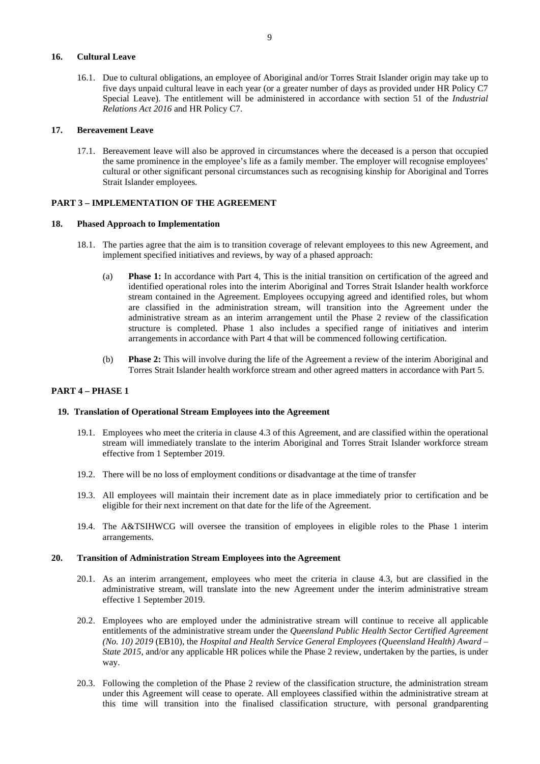# <span id="page-9-0"></span>**16. Cultural Leave**

16.1. Due to cultural obligations, an employee of Aboriginal and/or Torres Strait Islander origin may take up to five days unpaid cultural leave in each year (or a greater number of days as provided under HR Policy C7 Special Leave). The entitlement will be administered in accordance with section 51 of the *Industrial Relations Act 2016* and HR Policy C7.

## <span id="page-9-1"></span>**17. Bereavement Leave**

17.1. Bereavement leave will also be approved in circumstances where the deceased is a person that occupied the same prominence in the employee's life as a family member. The employer will recognise employees' cultural or other significant personal circumstances such as recognising kinship for Aboriginal and Torres Strait Islander employees.

# <span id="page-9-2"></span>**PART 3 – IMPLEMENTATION OF THE AGREEMENT**

#### <span id="page-9-3"></span>**18. Phased Approach to Implementation**

- 18.1. The parties agree that the aim is to transition coverage of relevant employees to this new Agreement, and implement specified initiatives and reviews, by way of a phased approach:
	- (a) **Phase 1:** In accordance with Part 4, This is the initial transition on certification of the agreed and identified operational roles into the interim Aboriginal and Torres Strait Islander health workforce stream contained in the Agreement. Employees occupying agreed and identified roles, but whom are classified in the administration stream, will transition into the Agreement under the administrative stream as an interim arrangement until the Phase 2 review of the classification structure is completed. Phase 1 also includes a specified range of initiatives and interim arrangements in accordance with Part 4 that will be commenced following certification.
	- (b) **Phase 2:** This will involve during the life of the Agreement a review of the interim Aboriginal and Torres Strait Islander health workforce stream and other agreed matters in accordance with Part 5.

# <span id="page-9-4"></span>**PART 4 – PHASE 1**

#### <span id="page-9-5"></span>**19. Translation of Operational Stream Employees into the Agreement**

- 19.1. Employees who meet the criteria in clause [4.3](#page-5-4) of this Agreement, and are classified within the operational stream will immediately translate to the interim Aboriginal and Torres Strait Islander workforce stream effective from 1 September 2019.
- 19.2. There will be no loss of employment conditions or disadvantage at the time of transfer
- 19.3. All employees will maintain their increment date as in place immediately prior to certification and be eligible for their next increment on that date for the life of the Agreement.
- 19.4. The A&TSIHWCG will oversee the transition of employees in eligible roles to the Phase 1 interim arrangements.

#### <span id="page-9-6"></span>**20. Transition of Administration Stream Employees into the Agreement**

- 20.1. As an interim arrangement, employees who meet the criteria in clause [4.3,](#page-5-4) but are classified in the administrative stream, will translate into the new Agreement under the interim administrative stream effective 1 September 2019.
- 20.2. Employees who are employed under the administrative stream will continue to receive all applicable entitlements of the administrative stream under the *Queensland Public Health Sector Certified Agreement (No. 10) 2019* (EB10), the *Hospital and Health Service General Employees (Queensland Health) Award – State 2015*, and/or any applicable HR polices while the Phase 2 review, undertaken by the parties, is under way.
- 20.3. Following the completion of the Phase 2 review of the classification structure, the administration stream under this Agreement will cease to operate. All employees classified within the administrative stream at this time will transition into the finalised classification structure, with personal grandparenting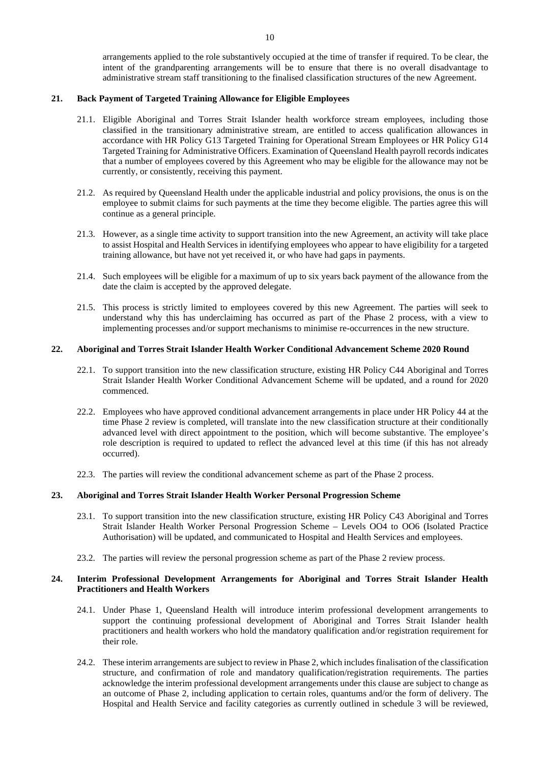# <span id="page-10-0"></span>**21. Back Payment of Targeted Training Allowance for Eligible Employees**

- 21.1. Eligible Aboriginal and Torres Strait Islander health workforce stream employees, including those classified in the transitionary administrative stream, are entitled to access qualification allowances in accordance with HR Policy G13 Targeted Training for Operational Stream Employees or HR Policy G14 Targeted Training for Administrative Officers. Examination of Queensland Health payroll records indicates that a number of employees covered by this Agreement who may be eligible for the allowance may not be currently, or consistently, receiving this payment.
- 21.2. As required by Queensland Health under the applicable industrial and policy provisions, the onus is on the employee to submit claims for such payments at the time they become eligible. The parties agree this will continue as a general principle.
- 21.3. However, as a single time activity to support transition into the new Agreement, an activity will take place to assist Hospital and Health Services in identifying employees who appear to have eligibility for a targeted training allowance, but have not yet received it, or who have had gaps in payments.
- 21.4. Such employees will be eligible for a maximum of up to six years back payment of the allowance from the date the claim is accepted by the approved delegate.
- 21.5. This process is strictly limited to employees covered by this new Agreement. The parties will seek to understand why this has underclaiming has occurred as part of the Phase 2 process, with a view to implementing processes and/or support mechanisms to minimise re-occurrences in the new structure.

#### <span id="page-10-1"></span>**22. Aboriginal and Torres Strait Islander Health Worker Conditional Advancement Scheme 2020 Round**

- 22.1. To support transition into the new classification structure, existing HR Policy C44 Aboriginal and Torres Strait Islander Health Worker Conditional Advancement Scheme will be updated, and a round for 2020 commenced.
- 22.2. Employees who have approved conditional advancement arrangements in place under HR Policy 44 at the time Phase 2 review is completed, will translate into the new classification structure at their conditionally advanced level with direct appointment to the position, which will become substantive. The employee's role description is required to updated to reflect the advanced level at this time (if this has not already occurred).
- 22.3. The parties will review the conditional advancement scheme as part of the Phase 2 process.

# <span id="page-10-2"></span>**23. Aboriginal and Torres Strait Islander Health Worker Personal Progression Scheme**

- 23.1. To support transition into the new classification structure, existing HR Policy C43 Aboriginal and Torres Strait Islander Health Worker Personal Progression Scheme – Levels OO4 to OO6 (Isolated Practice Authorisation) will be updated, and communicated to Hospital and Health Services and employees.
- 23.2. The parties will review the personal progression scheme as part of the Phase 2 review process.

## <span id="page-10-3"></span>**24. Interim Professional Development Arrangements for Aboriginal and Torres Strait Islander Health Practitioners and Health Workers**

- 24.1. Under Phase 1, Queensland Health will introduce interim professional development arrangements to support the continuing professional development of Aboriginal and Torres Strait Islander health practitioners and health workers who hold the mandatory qualification and/or registration requirement for their role.
- 24.2. These interim arrangements are subject to review in Phase 2, which includes finalisation of the classification structure, and confirmation of role and mandatory qualification/registration requirements. The parties acknowledge the interim professional development arrangements under this clause are subject to change as an outcome of Phase 2, including application to certain roles, quantums and/or the form of delivery. The Hospital and Health Service and facility categories as currently outlined in schedule 3 will be reviewed,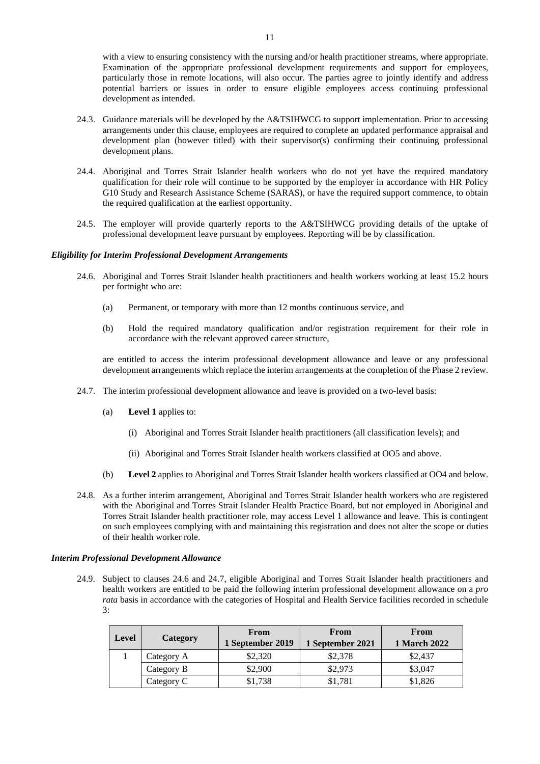with a view to ensuring consistency with the nursing and/or health practitioner streams, where appropriate. Examination of the appropriate professional development requirements and support for employees, particularly those in remote locations, will also occur. The parties agree to jointly identify and address potential barriers or issues in order to ensure eligible employees access continuing professional development as intended.

- 24.3. Guidance materials will be developed by the A&TSIHWCG to support implementation. Prior to accessing arrangements under this clause, employees are required to complete an updated performance appraisal and development plan (however titled) with their supervisor(s) confirming their continuing professional development plans.
- 24.4. Aboriginal and Torres Strait Islander health workers who do not yet have the required mandatory qualification for their role will continue to be supported by the employer in accordance with HR Policy G10 Study and Research Assistance Scheme (SARAS), or have the required support commence, to obtain the required qualification at the earliest opportunity.
- 24.5. The employer will provide quarterly reports to the A&TSIHWCG providing details of the uptake of professional development leave pursuant by employees. Reporting will be by classification.

#### <span id="page-11-0"></span>*Eligibility for Interim Professional Development Arrangements*

- 24.6. Aboriginal and Torres Strait Islander health practitioners and health workers working at least 15.2 hours per fortnight who are:
	- (a) Permanent, or temporary with more than 12 months continuous service, and
	- (b) Hold the required mandatory qualification and/or registration requirement for their role in accordance with the relevant approved career structure,

are entitled to access the interim professional development allowance and leave or any professional development arrangements which replace the interim arrangements at the completion of the Phase 2 review.

- <span id="page-11-1"></span>24.7. The interim professional development allowance and leave is provided on a two-level basis:
	- (a) **Level 1** applies to:
		- (i) Aboriginal and Torres Strait Islander health practitioners (all classification levels); and
		- (ii) Aboriginal and Torres Strait Islander health workers classified at OO5 and above.
	- (b) **Level 2** applies to Aboriginal and Torres Strait Islander health workers classified at OO4 and below.
- 24.8. As a further interim arrangement, Aboriginal and Torres Strait Islander health workers who are registered with the Aboriginal and Torres Strait Islander Health Practice Board, but not employed in Aboriginal and Torres Strait Islander health practitioner role, may access Level 1 allowance and leave. This is contingent on such employees complying with and maintaining this registration and does not alter the scope or duties of their health worker role.

#### *Interim Professional Development Allowance*

24.9. Subject to clauses [24.6](#page-11-0) and [24.7,](#page-11-1) eligible Aboriginal and Torres Strait Islander health practitioners and health workers are entitled to be paid the following interim professional development allowance on a *pro rata* basis in accordance with the categories of Hospital and Health Service facilities recorded in schedule 3:

| Level | Category   | From<br>1 September 2019 | From<br>1 September 2021 | From<br><b>1 March 2022</b> |
|-------|------------|--------------------------|--------------------------|-----------------------------|
|       | Category A | \$2,320                  | \$2,378                  | \$2,437                     |
|       | Category B | \$2,900                  | \$2,973                  | \$3,047                     |
|       | Category C | \$1,738                  | \$1,781                  | \$1,826                     |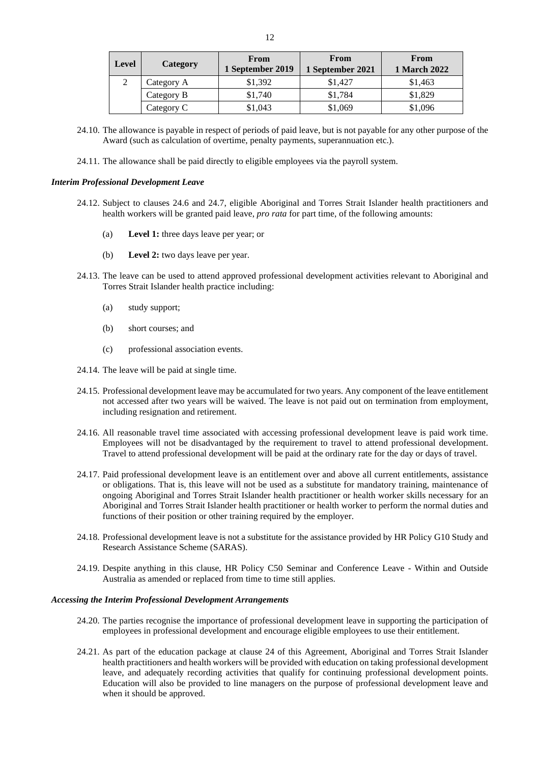| Level | Category   | From<br>1 September 2019 | <b>From</b><br>1 September 2021 | From<br><b>1 March 2022</b> |
|-------|------------|--------------------------|---------------------------------|-----------------------------|
|       | Category A | \$1,392                  | \$1.427                         | \$1,463                     |
|       | Category B | \$1.740                  | \$1.784                         | \$1,829                     |
|       | Category C | \$1,043                  | \$1,069                         | \$1,096                     |

- 24.10. The allowance is payable in respect of periods of paid leave, but is not payable for any other purpose of the Award (such as calculation of overtime, penalty payments, superannuation etc.).
- 24.11. The allowance shall be paid directly to eligible employees via the payroll system.

#### *Interim Professional Development Leave*

- 24.12. Subject to clauses [24.6](#page-11-0) and [24.7,](#page-11-1) eligible Aboriginal and Torres Strait Islander health practitioners and health workers will be granted paid leave, *pro rata* for part time, of the following amounts:
	- (a) **Level 1:** three days leave per year; or
	- (b) **Level 2:** two days leave per year.
- 24.13. The leave can be used to attend approved professional development activities relevant to Aboriginal and Torres Strait Islander health practice including:
	- (a) study support;
	- (b) short courses; and
	- (c) professional association events.
- 24.14. The leave will be paid at single time.
- 24.15. Professional development leave may be accumulated for two years. Any component of the leave entitlement not accessed after two years will be waived. The leave is not paid out on termination from employment, including resignation and retirement.
- 24.16. All reasonable travel time associated with accessing professional development leave is paid work time. Employees will not be disadvantaged by the requirement to travel to attend professional development. Travel to attend professional development will be paid at the ordinary rate for the day or days of travel.
- <span id="page-12-0"></span>24.17. Paid professional development leave is an entitlement over and above all current entitlements, assistance or obligations. That is, this leave will not be used as a substitute for mandatory training, maintenance of ongoing Aboriginal and Torres Strait Islander health practitioner or health worker skills necessary for an Aboriginal and Torres Strait Islander health practitioner or health worker to perform the normal duties and functions of their position or other training required by the employer.
- 24.18. Professional development leave is not a substitute for the assistance provided by HR Policy G10 Study and Research Assistance Scheme (SARAS).
- 24.19. Despite anything in this clause, HR Policy C50 Seminar and Conference Leave Within and Outside Australia as amended or replaced from time to time still applies.

# *Accessing the Interim Professional Development Arrangements*

- 24.20. The parties recognise the importance of professional development leave in supporting the participation of employees in professional development and encourage eligible employees to use their entitlement.
- 24.21. As part of the education package at clause [24](#page-10-3) of this Agreement, Aboriginal and Torres Strait Islander health practitioners and health workers will be provided with education on taking professional development leave, and adequately recording activities that qualify for continuing professional development points. Education will also be provided to line managers on the purpose of professional development leave and when it should be approved.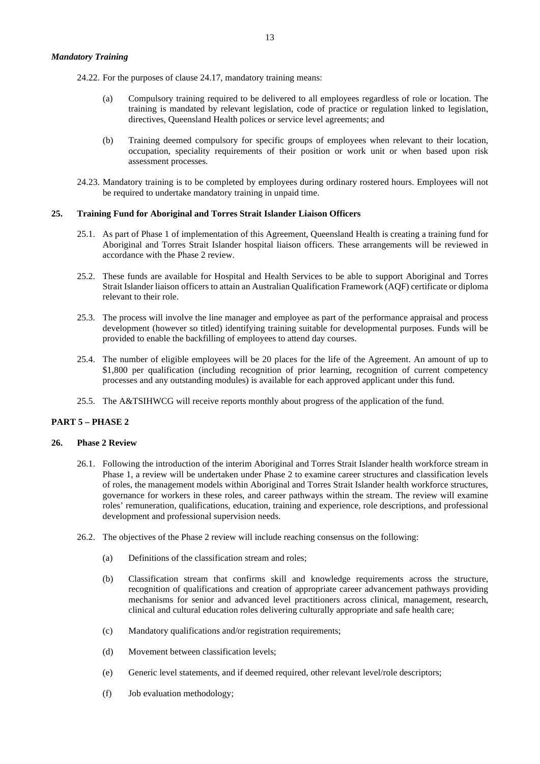24.22. For the purposes of clause [24.17,](#page-12-0) mandatory training means:

- (a) Compulsory training required to be delivered to all employees regardless of role or location. The training is mandated by relevant legislation, code of practice or regulation linked to legislation, directives, Queensland Health polices or service level agreements; and
- (b) Training deemed compulsory for specific groups of employees when relevant to their location, occupation, speciality requirements of their position or work unit or when based upon risk assessment processes.
- 24.23. Mandatory training is to be completed by employees during ordinary rostered hours. Employees will not be required to undertake mandatory training in unpaid time.

## <span id="page-13-0"></span>**25. Training Fund for Aboriginal and Torres Strait Islander Liaison Officers**

- 25.1. As part of Phase 1 of implementation of this Agreement, Queensland Health is creating a training fund for Aboriginal and Torres Strait Islander hospital liaison officers. These arrangements will be reviewed in accordance with the Phase 2 review.
- 25.2. These funds are available for Hospital and Health Services to be able to support Aboriginal and Torres Strait Islander liaison officers to attain an Australian Qualification Framework (AQF) certificate or diploma relevant to their role.
- 25.3. The process will involve the line manager and employee as part of the performance appraisal and process development (however so titled) identifying training suitable for developmental purposes. Funds will be provided to enable the backfilling of employees to attend day courses.
- 25.4. The number of eligible employees will be 20 places for the life of the Agreement. An amount of up to \$1,800 per qualification (including recognition of prior learning, recognition of current competency processes and any outstanding modules) is available for each approved applicant under this fund.
- 25.5. The A&TSIHWCG will receive reports monthly about progress of the application of the fund.

# <span id="page-13-1"></span>**PART 5 – PHASE 2**

#### <span id="page-13-2"></span>**26. Phase 2 Review**

- 26.1. Following the introduction of the interim Aboriginal and Torres Strait Islander health workforce stream in Phase 1, a review will be undertaken under Phase 2 to examine career structures and classification levels of roles, the management models within Aboriginal and Torres Strait Islander health workforce structures, governance for workers in these roles, and career pathways within the stream. The review will examine roles' remuneration, qualifications, education, training and experience, role descriptions, and professional development and professional supervision needs.
- 26.2. The objectives of the Phase 2 review will include reaching consensus on the following:
	- (a) Definitions of the classification stream and roles;
	- (b) Classification stream that confirms skill and knowledge requirements across the structure, recognition of qualifications and creation of appropriate career advancement pathways providing mechanisms for senior and advanced level practitioners across clinical, management, research, clinical and cultural education roles delivering culturally appropriate and safe health care;
	- (c) Mandatory qualifications and/or registration requirements;
	- (d) Movement between classification levels;
	- (e) Generic level statements, and if deemed required, other relevant level/role descriptors;
	- (f) Job evaluation methodology;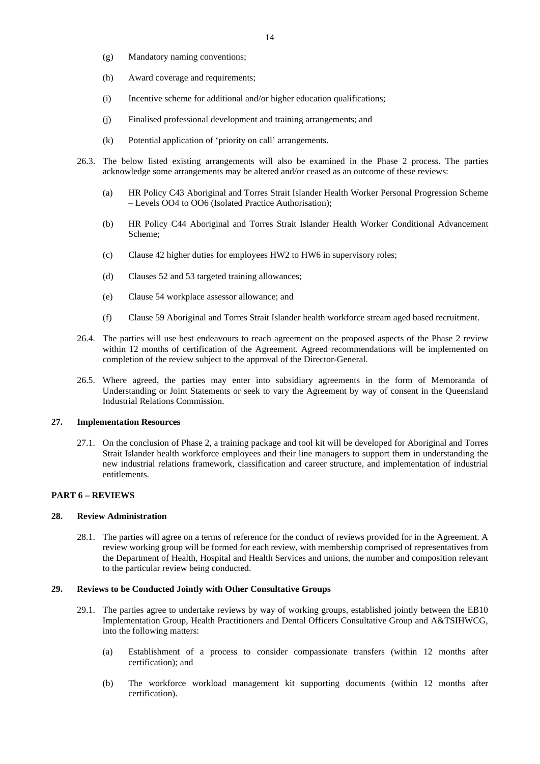- (g) Mandatory naming conventions;
- (h) Award coverage and requirements;
- (i) Incentive scheme for additional and/or higher education qualifications;
- (j) Finalised professional development and training arrangements; and
- (k) Potential application of 'priority on call' arrangements.
- 26.3. The below listed existing arrangements will also be examined in the Phase 2 process. The parties acknowledge some arrangements may be altered and/or ceased as an outcome of these reviews:
	- (a) HR Policy C43 Aboriginal and Torres Strait Islander Health Worker Personal Progression Scheme – Levels OO4 to OO6 (Isolated Practice Authorisation);
	- (b) HR Policy C44 Aboriginal and Torres Strait Islander Health Worker Conditional Advancement Scheme;
	- (c) Clause [42](#page-18-6) higher duties for employees HW2 to HW6 in supervisory roles;
	- (d) Clauses [52](#page-20-6) and [53](#page-21-0) targeted training allowances;
	- (e) Clause [54](#page-22-0) workplace assessor allowance; and
	- (f) Clause [59](#page-23-2) Aboriginal and Torres Strait Islander health workforce stream aged based recruitment.
- 26.4. The parties will use best endeavours to reach agreement on the proposed aspects of the Phase 2 review within 12 months of certification of the Agreement. Agreed recommendations will be implemented on completion of the review subject to the approval of the Director-General.
- 26.5. Where agreed, the parties may enter into subsidiary agreements in the form of Memoranda of Understanding or Joint Statements or seek to vary the Agreement by way of consent in the Queensland Industrial Relations Commission.

# <span id="page-14-0"></span>**27. Implementation Resources**

27.1. On the conclusion of Phase 2, a training package and tool kit will be developed for Aboriginal and Torres Strait Islander health workforce employees and their line managers to support them in understanding the new industrial relations framework, classification and career structure, and implementation of industrial entitlements.

## <span id="page-14-1"></span>**PART 6 – REVIEWS**

#### <span id="page-14-2"></span>**28. Review Administration**

28.1. The parties will agree on a terms of reference for the conduct of reviews provided for in the Agreement. A review working group will be formed for each review, with membership comprised of representatives from the Department of Health, Hospital and Health Services and unions, the number and composition relevant to the particular review being conducted.

#### <span id="page-14-3"></span>**29. Reviews to be Conducted Jointly with Other Consultative Groups**

- 29.1. The parties agree to undertake reviews by way of working groups, established jointly between the EB10 Implementation Group, Health Practitioners and Dental Officers Consultative Group and A&TSIHWCG, into the following matters:
	- (a) Establishment of a process to consider compassionate transfers (within 12 months after certification); and
	- (b) The workforce workload management kit supporting documents (within 12 months after certification).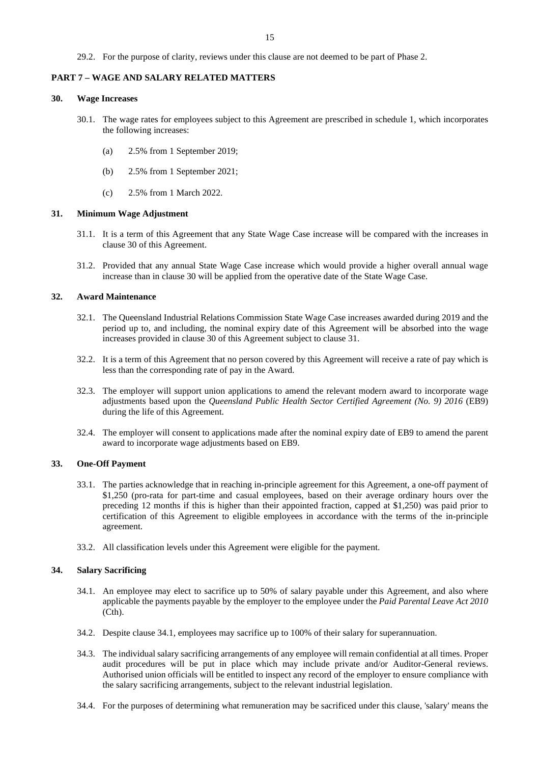29.2. For the purpose of clarity, reviews under this clause are not deemed to be part of Phase 2.

#### <span id="page-15-0"></span>**PART 7 – WAGE AND SALARY RELATED MATTERS**

# <span id="page-15-1"></span>**30. Wage Increases**

- 30.1. The wage rates for employees subject to this Agreement are prescribed in schedule 1, which incorporates the following increases:
	- (a) 2.5% from 1 September 2019;
	- (b) 2.5% from 1 September 2021;
	- (c) 2.5% from 1 March 2022.

#### <span id="page-15-2"></span>**31. Minimum Wage Adjustment**

- 31.1. It is a term of this Agreement that any State Wage Case increase will be compared with the increases in clause [30](#page-15-1) of this Agreement.
- 31.2. Provided that any annual State Wage Case increase which would provide a higher overall annual wage increase than in clause [30](#page-15-1) will be applied from the operative date of the State Wage Case.

# <span id="page-15-3"></span>**32. Award Maintenance**

- 32.1. The Queensland Industrial Relations Commission State Wage Case increases awarded during 2019 and the period up to, and including, the nominal expiry date of this Agreement will be absorbed into the wage increases provided in clause [30](#page-15-1) of this Agreement subject to clause [31.](#page-15-2)
- 32.2. It is a term of this Agreement that no person covered by this Agreement will receive a rate of pay which is less than the corresponding rate of pay in the Award.
- 32.3. The employer will support union applications to amend the relevant modern award to incorporate wage adjustments based upon the *Queensland Public Health Sector Certified Agreement (No. 9) 2016* (EB9) during the life of this Agreement.
- 32.4. The employer will consent to applications made after the nominal expiry date of EB9 to amend the parent award to incorporate wage adjustments based on EB9.

#### <span id="page-15-4"></span>**33. One-Off Payment**

- 33.1. The parties acknowledge that in reaching in-principle agreement for this Agreement, a one-off payment of \$1,250 (pro-rata for part-time and casual employees, based on their average ordinary hours over the preceding 12 months if this is higher than their appointed fraction, capped at \$1,250) was paid prior to certification of this Agreement to eligible employees in accordance with the terms of the in-principle agreement.
- 33.2. All classification levels under this Agreement were eligible for the payment.

#### <span id="page-15-6"></span><span id="page-15-5"></span>**34. Salary Sacrificing**

- 34.1. An employee may elect to sacrifice up to 50% of salary payable under this Agreement, and also where applicable the payments payable by the employer to the employee under the *Paid Parental Leave Act 2010* (Cth).
- 34.2. Despite clause [34.1,](#page-15-6) employees may sacrifice up to 100% of their salary for superannuation.
- 34.3. The individual salary sacrificing arrangements of any employee will remain confidential at all times. Proper audit procedures will be put in place which may include private and/or Auditor-General reviews. Authorised union officials will be entitled to inspect any record of the employer to ensure compliance with the salary sacrificing arrangements, subject to the relevant industrial legislation.
- 34.4. For the purposes of determining what remuneration may be sacrificed under this clause, 'salary' means the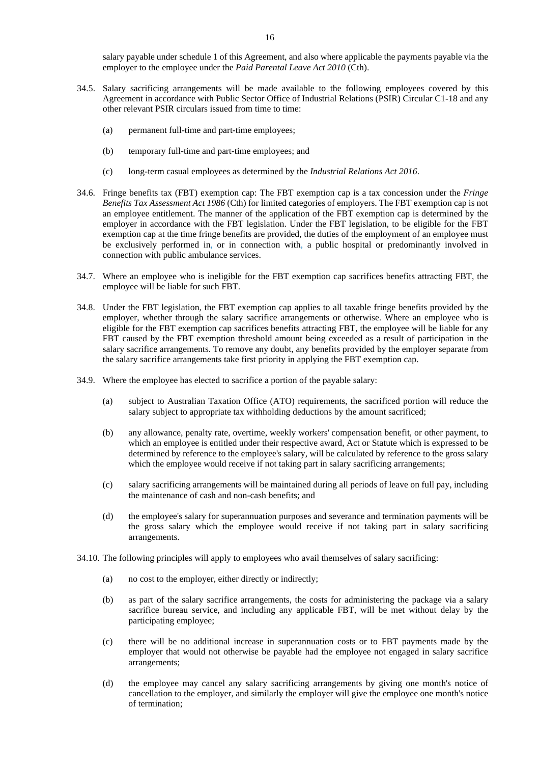salary payable under schedule 1 of this Agreement, and also where applicable the payments payable via the employer to the employee under the *Paid Parental Leave Act 2010* (Cth).

- 34.5. Salary sacrificing arrangements will be made available to the following employees covered by this Agreement in accordance with Public Sector Office of Industrial Relations (PSIR) Circular C1-18 and any other relevant PSIR circulars issued from time to time:
	- (a) permanent full-time and part-time employees;
	- (b) temporary full-time and part-time employees; and
	- (c) long-term casual employees as determined by the *Industrial Relations Act 2016*.
- 34.6. Fringe benefits tax (FBT) exemption cap: The FBT exemption cap is a tax concession under the *Fringe Benefits Tax Assessment Act 1986* (Cth) for limited categories of employers. The FBT exemption cap is not an employee entitlement. The manner of the application of the FBT exemption cap is determined by the employer in accordance with the FBT legislation. Under the FBT legislation, to be eligible for the FBT exemption cap at the time fringe benefits are provided, the duties of the employment of an employee must be exclusively performed in, or in connection with, a public hospital or predominantly involved in connection with public ambulance services.
- 34.7. Where an employee who is ineligible for the FBT exemption cap sacrifices benefits attracting FBT, the employee will be liable for such FBT.
- 34.8. Under the FBT legislation, the FBT exemption cap applies to all taxable fringe benefits provided by the employer, whether through the salary sacrifice arrangements or otherwise. Where an employee who is eligible for the FBT exemption cap sacrifices benefits attracting FBT, the employee will be liable for any FBT caused by the FBT exemption threshold amount being exceeded as a result of participation in the salary sacrifice arrangements. To remove any doubt, any benefits provided by the employer separate from the salary sacrifice arrangements take first priority in applying the FBT exemption cap.
- 34.9. Where the employee has elected to sacrifice a portion of the payable salary:
	- (a) subject to Australian Taxation Office (ATO) requirements, the sacrificed portion will reduce the salary subject to appropriate tax withholding deductions by the amount sacrificed;
	- (b) any allowance, penalty rate, overtime, weekly workers' compensation benefit, or other payment, to which an employee is entitled under their respective award, Act or Statute which is expressed to be determined by reference to the employee's salary, will be calculated by reference to the gross salary which the employee would receive if not taking part in salary sacrificing arrangements;
	- (c) salary sacrificing arrangements will be maintained during all periods of leave on full pay, including the maintenance of cash and non-cash benefits; and
	- (d) the employee's salary for superannuation purposes and severance and termination payments will be the gross salary which the employee would receive if not taking part in salary sacrificing arrangements.
- 34.10. The following principles will apply to employees who avail themselves of salary sacrificing:
	- (a) no cost to the employer, either directly or indirectly;
	- (b) as part of the salary sacrifice arrangements, the costs for administering the package via a salary sacrifice bureau service, and including any applicable FBT, will be met without delay by the participating employee;
	- (c) there will be no additional increase in superannuation costs or to FBT payments made by the employer that would not otherwise be payable had the employee not engaged in salary sacrifice arrangements;
	- (d) the employee may cancel any salary sacrificing arrangements by giving one month's notice of cancellation to the employer, and similarly the employer will give the employee one month's notice of termination;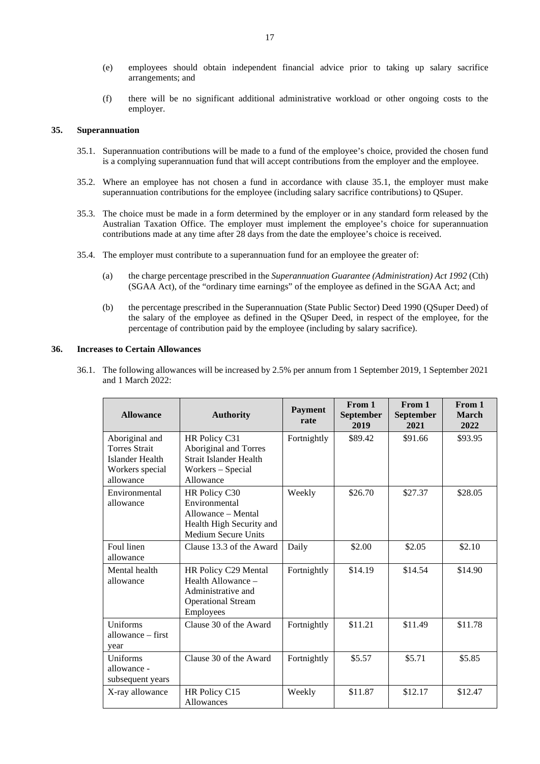- (e) employees should obtain independent financial advice prior to taking up salary sacrifice arrangements; and
- (f) there will be no significant additional administrative workload or other ongoing costs to the employer.

#### <span id="page-17-2"></span><span id="page-17-0"></span>**35. Superannuation**

- 35.1. Superannuation contributions will be made to a fund of the employee's choice, provided the chosen fund is a complying superannuation fund that will accept contributions from the employer and the employee.
- 35.2. Where an employee has not chosen a fund in accordance with clause [35.1,](#page-17-2) the employer must make superannuation contributions for the employee (including salary sacrifice contributions) to QSuper.
- 35.3. The choice must be made in a form determined by the employer or in any standard form released by the Australian Taxation Office. The employer must implement the employee's choice for superannuation contributions made at any time after 28 days from the date the employee's choice is received.
- 35.4. The employer must contribute to a superannuation fund for an employee the greater of:
	- (a) the charge percentage prescribed in the *Superannuation Guarantee (Administration) Act 1992* (Cth) (SGAA Act), of the "ordinary time earnings" of the employee as defined in the SGAA Act; and
	- (b) the percentage prescribed in the Superannuation (State Public Sector) Deed 1990 (QSuper Deed) of the salary of the employee as defined in the QSuper Deed, in respect of the employee, for the percentage of contribution paid by the employee (including by salary sacrifice).

#### <span id="page-17-1"></span>**36. Increases to Certain Allowances**

36.1. The following allowances will be increased by 2.5% per annum from 1 September 2019, 1 September 2021 and 1 March 2022:

| <b>Allowance</b>                                                                                 | <b>Authority</b>                                                                                               | <b>Payment</b><br>rate | From 1<br>September<br>2019 | From 1<br><b>September</b><br>2021 | From 1<br><b>March</b><br>2022 |
|--------------------------------------------------------------------------------------------------|----------------------------------------------------------------------------------------------------------------|------------------------|-----------------------------|------------------------------------|--------------------------------|
| Aboriginal and<br><b>Torres Strait</b><br><b>Islander Health</b><br>Workers special<br>allowance | HR Policy C31<br>Aboriginal and Torres<br>Strait Islander Health<br>Workers - Special<br>Allowance             | Fortnightly            | \$89.42                     | \$91.66                            | \$93.95                        |
| Environmental<br>allowance                                                                       | HR Policy C30<br>Environmental<br>Allowance – Mental<br>Health High Security and<br><b>Medium Secure Units</b> | Weekly                 | \$26.70                     | \$27.37                            | \$28.05                        |
| Foul linen<br>allowance                                                                          | Clause 13.3 of the Award                                                                                       | Daily                  | \$2.00                      | \$2.05                             | \$2.10                         |
| Mental health<br>allowance                                                                       | HR Policy C29 Mental<br>Health Allowance -<br>Administrative and<br><b>Operational Stream</b><br>Employees     | Fortnightly            | \$14.19                     | \$14.54                            | \$14.90                        |
| Uniforms<br>allowance – first<br>year                                                            | Clause 30 of the Award                                                                                         | Fortnightly            | \$11.21                     | \$11.49                            | \$11.78                        |
| Uniforms<br>allowance -<br>subsequent years                                                      | Clause 30 of the Award                                                                                         | Fortnightly            | \$5.57                      | \$5.71                             | \$5.85                         |
| X-ray allowance                                                                                  | HR Policy C15<br>Allowances                                                                                    | Weekly                 | \$11.87                     | \$12.17                            | \$12.47                        |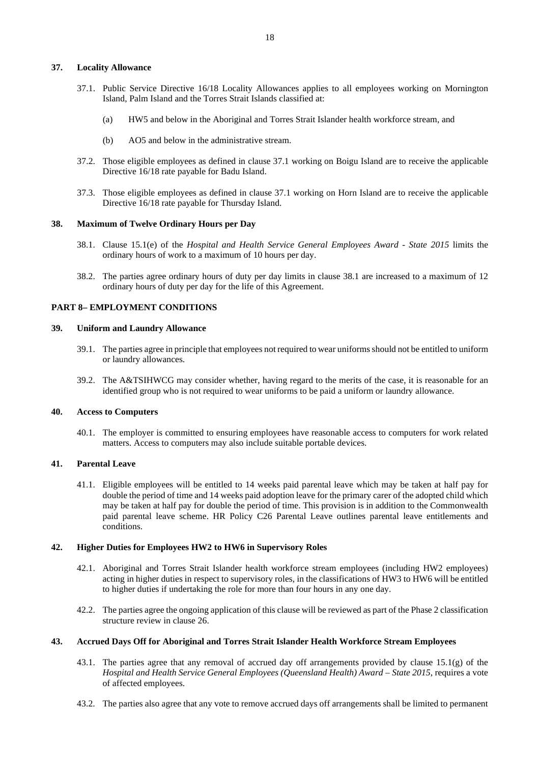#### <span id="page-18-8"></span><span id="page-18-0"></span>**37. Locality Allowance**

- 37.1. Public Service Directive 16/18 Locality Allowances applies to all employees working on Mornington Island, Palm Island and the Torres Strait Islands classified at:
	- (a) HW5 and below in the Aboriginal and Torres Strait Islander health workforce stream, and
	- (b) AO5 and below in the administrative stream.
- 37.2. Those eligible employees as defined in clause [37.1](#page-18-8) working on Boigu Island are to receive the applicable Directive 16/18 rate payable for Badu Island.
- 37.3. Those eligible employees as defined in clause [37.1](#page-18-8) working on Horn Island are to receive the applicable Directive 16/18 rate payable for Thursday Island.

#### <span id="page-18-9"></span><span id="page-18-1"></span>**38. Maximum of Twelve Ordinary Hours per Day**

- 38.1. Clause 15.1(e) of the *Hospital and Health Service General Employees Award - State 2015* limits the ordinary hours of work to a maximum of 10 hours per day.
- 38.2. The parties agree ordinary hours of duty per day limits in clause [38.1](#page-18-9) are increased to a maximum of 12 ordinary hours of duty per day for the life of this Agreement.

# <span id="page-18-2"></span>**PART 8– EMPLOYMENT CONDITIONS**

#### <span id="page-18-3"></span>**39. Uniform and Laundry Allowance**

- 39.1. The parties agree in principle that employees not required to wear uniforms should not be entitled to uniform or laundry allowances.
- 39.2. The A&TSIHWCG may consider whether, having regard to the merits of the case, it is reasonable for an identified group who is not required to wear uniforms to be paid a uniform or laundry allowance.

# <span id="page-18-4"></span>**40. Access to Computers**

40.1. The employer is committed to ensuring employees have reasonable access to computers for work related matters. Access to computers may also include suitable portable devices.

# <span id="page-18-5"></span>**41. Parental Leave**

41.1. Eligible employees will be entitled to 14 weeks paid parental leave which may be taken at half pay for double the period of time and 14 weeks paid adoption leave for the primary carer of the adopted child which may be taken at half pay for double the period of time. This provision is in addition to the Commonwealth paid parental leave scheme. HR Policy C26 Parental Leave outlines parental leave entitlements and conditions.

#### <span id="page-18-6"></span>**42. Higher Duties for Employees HW2 to HW6 in Supervisory Roles**

- 42.1. Aboriginal and Torres Strait Islander health workforce stream employees (including HW2 employees) acting in higher duties in respect to supervisory roles, in the classifications of HW3 to HW6 will be entitled to higher duties if undertaking the role for more than four hours in any one day.
- 42.2. The parties agree the ongoing application of this clause will be reviewed as part of the Phase 2 classification structure review in clause [26.](#page-13-2)

#### <span id="page-18-7"></span>**43. Accrued Days Off for Aboriginal and Torres Strait Islander Health Workforce Stream Employees**

- 43.1. The parties agree that any removal of accrued day off arrangements provided by clause 15.1(g) of the *Hospital and Health Service General Employees (Queensland Health) Award – State 2015*, requires a vote of affected employees.
- 43.2. The parties also agree that any vote to remove accrued days off arrangements shall be limited to permanent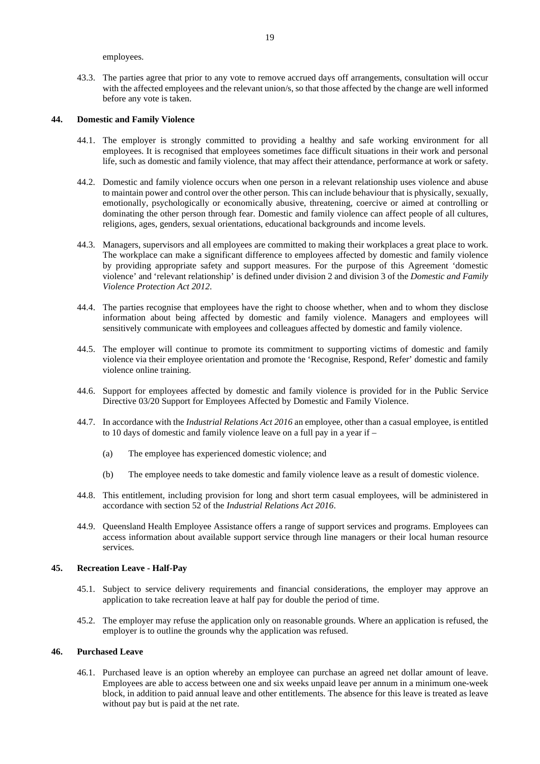employees.

43.3. The parties agree that prior to any vote to remove accrued days off arrangements, consultation will occur with the affected employees and the relevant union/s, so that those affected by the change are well informed before any vote is taken.

#### <span id="page-19-0"></span>**44. Domestic and Family Violence**

- 44.1. The employer is strongly committed to providing a healthy and safe working environment for all employees. It is recognised that employees sometimes face difficult situations in their work and personal life, such as domestic and family violence, that may affect their attendance, performance at work or safety.
- 44.2. Domestic and family violence occurs when one person in a relevant relationship uses violence and abuse to maintain power and control over the other person. This can include behaviour that is physically, sexually, emotionally, psychologically or economically abusive, threatening, coercive or aimed at controlling or dominating the other person through fear. Domestic and family violence can affect people of all cultures, religions, ages, genders, sexual orientations, educational backgrounds and income levels.
- 44.3. Managers, supervisors and all employees are committed to making their workplaces a great place to work. The workplace can make a significant difference to employees affected by domestic and family violence by providing appropriate safety and support measures. For the purpose of this Agreement 'domestic violence' and 'relevant relationship' is defined under division 2 and division 3 of the *Domestic and Family Violence Protection Act 2012*.
- 44.4. The parties recognise that employees have the right to choose whether, when and to whom they disclose information about being affected by domestic and family violence. Managers and employees will sensitively communicate with employees and colleagues affected by domestic and family violence.
- 44.5. The employer will continue to promote its commitment to supporting victims of domestic and family violence via their employee orientation and promote the 'Recognise, Respond, Refer' domestic and family violence online training.
- 44.6. Support for employees affected by domestic and family violence is provided for in the Public Service Directive 03/20 Support for Employees Affected by Domestic and Family Violence.
- 44.7. In accordance with the *Industrial Relations Act 2016* an employee, other than a casual employee, is entitled to 10 days of domestic and family violence leave on a full pay in a year if –
	- (a) The employee has experienced domestic violence; and
	- (b) The employee needs to take domestic and family violence leave as a result of domestic violence.
- 44.8. This entitlement, including provision for long and short term casual employees, will be administered in accordance with section 52 of the *Industrial Relations Act 2016*.
- 44.9. Queensland Health Employee Assistance offers a range of support services and programs. Employees can access information about available support service through line managers or their local human resource services.

#### <span id="page-19-1"></span>**45. Recreation Leave - Half-Pay**

- 45.1. Subject to service delivery requirements and financial considerations, the employer may approve an application to take recreation leave at half pay for double the period of time.
- 45.2. The employer may refuse the application only on reasonable grounds. Where an application is refused, the employer is to outline the grounds why the application was refused.

#### <span id="page-19-2"></span>**46. Purchased Leave**

46.1. Purchased leave is an option whereby an employee can purchase an agreed net dollar amount of leave. Employees are able to access between one and six weeks unpaid leave per annum in a minimum one-week block, in addition to paid annual leave and other entitlements. The absence for this leave is treated as leave without pay but is paid at the net rate.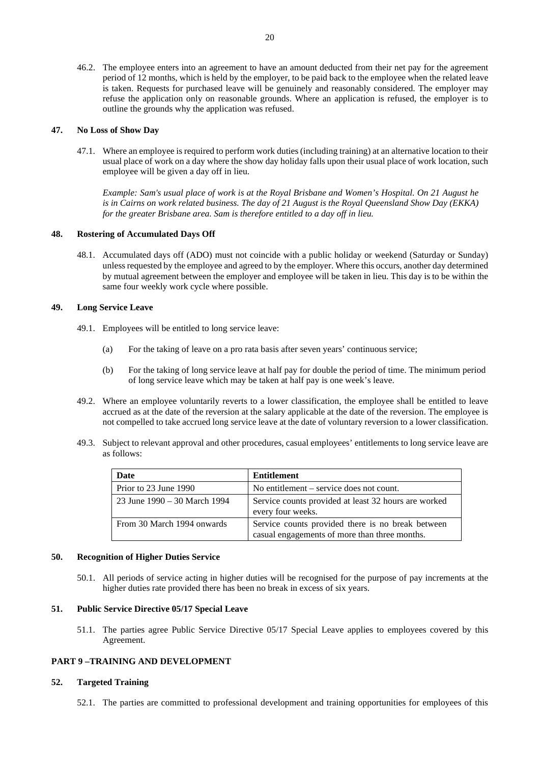46.2. The employee enters into an agreement to have an amount deducted from their net pay for the agreement period of 12 months, which is held by the employer, to be paid back to the employee when the related leave is taken. Requests for purchased leave will be genuinely and reasonably considered. The employer may refuse the application only on reasonable grounds. Where an application is refused, the employer is to outline the grounds why the application was refused.

## <span id="page-20-0"></span>**47. No Loss of Show Day**

47.1. Where an employee is required to perform work duties (including training) at an alternative location to their usual place of work on a day where the show day holiday falls upon their usual place of work location, such employee will be given a day off in lieu.

*Example: Sam's usual place of work is at the Royal Brisbane and Women's Hospital. On 21 August he is in Cairns on work related business. The day of 21 August is the Royal Queensland Show Day (EKKA) for the greater Brisbane area. Sam is therefore entitled to a day off in lieu.*

# <span id="page-20-1"></span>**48. Rostering of Accumulated Days Off**

48.1. Accumulated days off (ADO) must not coincide with a public holiday or weekend (Saturday or Sunday) unless requested by the employee and agreed to by the employer. Where this occurs, another day determined by mutual agreement between the employer and employee will be taken in lieu. This day is to be within the same four weekly work cycle where possible.

# <span id="page-20-2"></span>**49. Long Service Leave**

- 49.1. Employees will be entitled to long service leave:
	- (a) For the taking of leave on a pro rata basis after seven years' continuous service;
	- (b) For the taking of long service leave at half pay for double the period of time. The minimum period of long service leave which may be taken at half pay is one week's leave.
- 49.2. Where an employee voluntarily reverts to a lower classification, the employee shall be entitled to leave accrued as at the date of the reversion at the salary applicable at the date of the reversion. The employee is not compelled to take accrued long service leave at the date of voluntary reversion to a lower classification.
- 49.3. Subject to relevant approval and other procedures, casual employees' entitlements to long service leave are as follows:

| Date                         | Entitlement                                                                                        |
|------------------------------|----------------------------------------------------------------------------------------------------|
| Prior to 23 June 1990        | No entitlement – service does not count.                                                           |
| 23 June 1990 – 30 March 1994 | Service counts provided at least 32 hours are worked<br>every four weeks.                          |
| From 30 March 1994 onwards   | Service counts provided there is no break between<br>casual engagements of more than three months. |

#### <span id="page-20-3"></span>**50. Recognition of Higher Duties Service**

50.1. All periods of service acting in higher duties will be recognised for the purpose of pay increments at the higher duties rate provided there has been no break in excess of six years.

# <span id="page-20-4"></span>**51. Public Service Directive 05/17 Special Leave**

51.1. The parties agree Public Service Directive 05/17 Special Leave applies to employees covered by this Agreement.

# <span id="page-20-5"></span>**PART 9 –TRAINING AND DEVELOPMENT**

#### <span id="page-20-6"></span>**52. Targeted Training**

52.1. The parties are committed to professional development and training opportunities for employees of this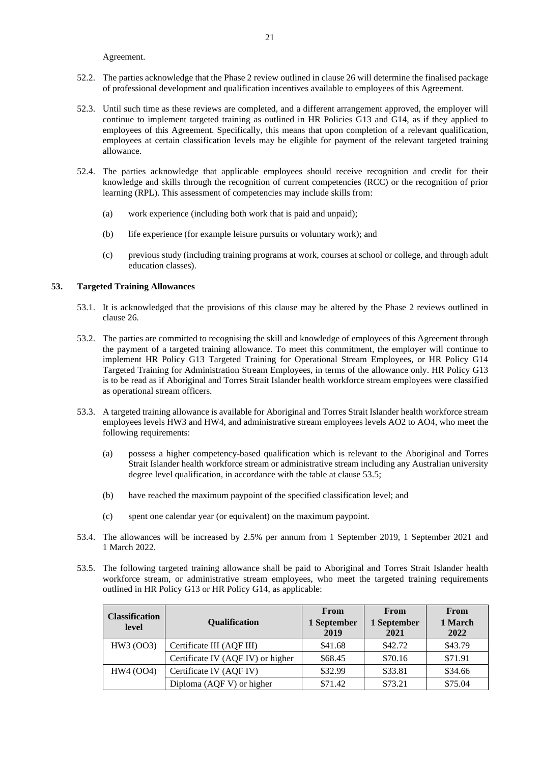Agreement.

- 52.2. The parties acknowledge that the Phase 2 review outlined in clause [26](#page-13-2) will determine the finalised package of professional development and qualification incentives available to employees of this Agreement.
- 52.3. Until such time as these reviews are completed, and a different arrangement approved, the employer will continue to implement targeted training as outlined in HR Policies G13 and G14, as if they applied to employees of this Agreement. Specifically, this means that upon completion of a relevant qualification, employees at certain classification levels may be eligible for payment of the relevant targeted training allowance.
- 52.4. The parties acknowledge that applicable employees should receive recognition and credit for their knowledge and skills through the recognition of current competencies (RCC) or the recognition of prior learning (RPL). This assessment of competencies may include skills from:
	- (a) work experience (including both work that is paid and unpaid);
	- (b) life experience (for example leisure pursuits or voluntary work); and
	- (c) previous study (including training programs at work, courses at school or college, and through adult education classes).

# <span id="page-21-0"></span>**53. Targeted Training Allowances**

- 53.1. It is acknowledged that the provisions of this clause may be altered by the Phase 2 reviews outlined in clause [26.](#page-13-2)
- 53.2. The parties are committed to recognising the skill and knowledge of employees of this Agreement through the payment of a targeted training allowance. To meet this commitment, the employer will continue to implement HR Policy G13 Targeted Training for Operational Stream Employees, or HR Policy G14 Targeted Training for Administration Stream Employees, in terms of the allowance only. HR Policy G13 is to be read as if Aboriginal and Torres Strait Islander health workforce stream employees were classified as operational stream officers.
- 53.3. A targeted training allowance is available for Aboriginal and Torres Strait Islander health workforce stream employees levels HW3 and HW4, and administrative stream employees levels AO2 to AO4, who meet the following requirements:
	- (a) possess a higher competency-based qualification which is relevant to the Aboriginal and Torres Strait Islander health workforce stream or administrative stream including any Australian university degree level qualification, in accordance with the table at clause [53.5;](#page-21-1)
	- (b) have reached the maximum paypoint of the specified classification level; and
	- (c) spent one calendar year (or equivalent) on the maximum paypoint.
- 53.4. The allowances will be increased by 2.5% per annum from 1 September 2019, 1 September 2021 and 1 March 2022.
- <span id="page-21-1"></span>53.5. The following targeted training allowance shall be paid to Aboriginal and Torres Strait Islander health workforce stream, or administrative stream employees, who meet the targeted training requirements outlined in HR Policy G13 or HR Policy G14, as applicable:

| <b>Classification</b><br>level | Qualification                     | <b>From</b><br>1 September<br>2019 | <b>From</b><br>1 September<br>2021 | From<br>1 March<br>2022 |
|--------------------------------|-----------------------------------|------------------------------------|------------------------------------|-------------------------|
| HW3 (OO3)                      | Certificate III (AQF III)         | \$41.68                            | \$42.72                            | \$43.79                 |
|                                | Certificate IV (AQF IV) or higher | \$68.45                            | \$70.16                            | \$71.91                 |
| HW4 (OO4)                      | Certificate IV (AQF IV)           | \$32.99                            | \$33.81                            | \$34.66                 |
|                                | Diploma (AQF V) or higher         | \$71.42                            | \$73.21                            | \$75.04                 |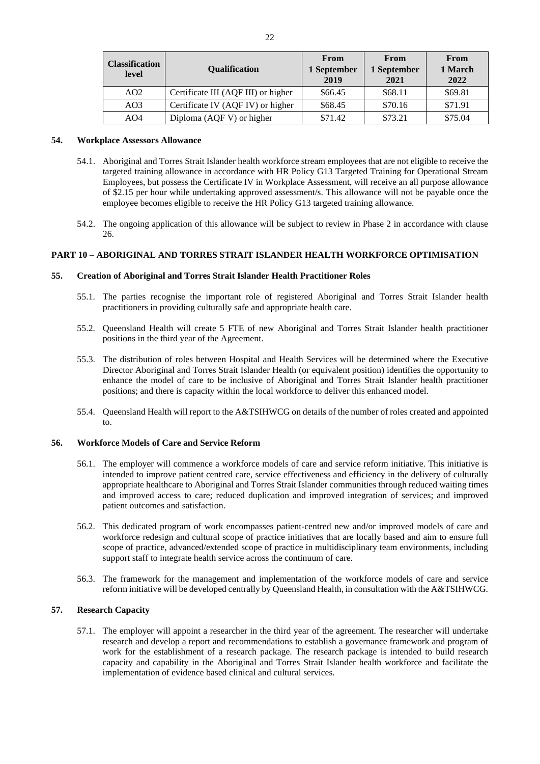| <b>Classification</b><br>level | <b>Oualification</b>                | From<br>1 September<br>2019 | From<br>1 September<br>2021 | From<br>1 March<br>2022 |
|--------------------------------|-------------------------------------|-----------------------------|-----------------------------|-------------------------|
| AO <sub>2</sub>                | Certificate III (AQF III) or higher | \$66.45                     | \$68.11                     | \$69.81                 |
| AO3                            | Certificate IV (AQF IV) or higher   | \$68.45                     | \$70.16                     | \$71.91                 |
| AO4                            | Diploma (AQF V) or higher           | \$71.42                     | \$73.21                     | \$75.04                 |

#### <span id="page-22-0"></span>**54. Workplace Assessors Allowance**

- 54.1. Aboriginal and Torres Strait Islander health workforce stream employees that are not eligible to receive the targeted training allowance in accordance with HR Policy G13 Targeted Training for Operational Stream Employees, but possess the Certificate IV in Workplace Assessment, will receive an all purpose allowance of \$2.15 per hour while undertaking approved assessment/s. This allowance will not be payable once the employee becomes eligible to receive the HR Policy G13 targeted training allowance.
- 54.2. The ongoing application of this allowance will be subject to review in Phase 2 in accordance with clause [26.](#page-13-2)

# <span id="page-22-1"></span>**PART 10 – ABORIGINAL AND TORRES STRAIT ISLANDER HEALTH WORKFORCE OPTIMISATION**

## <span id="page-22-2"></span>**55. Creation of Aboriginal and Torres Strait Islander Health Practitioner Roles**

- 55.1. The parties recognise the important role of registered Aboriginal and Torres Strait Islander health practitioners in providing culturally safe and appropriate health care.
- 55.2. Queensland Health will create 5 FTE of new Aboriginal and Torres Strait Islander health practitioner positions in the third year of the Agreement.
- 55.3. The distribution of roles between Hospital and Health Services will be determined where the Executive Director Aboriginal and Torres Strait Islander Health (or equivalent position) identifies the opportunity to enhance the model of care to be inclusive of Aboriginal and Torres Strait Islander health practitioner positions; and there is capacity within the local workforce to deliver this enhanced model.
- 55.4. Queensland Health will report to the A&TSIHWCG on details of the number of roles created and appointed to.

# <span id="page-22-3"></span>**56. Workforce Models of Care and Service Reform**

- 56.1. The employer will commence a workforce models of care and service reform initiative. This initiative is intended to improve patient centred care, service effectiveness and efficiency in the delivery of culturally appropriate healthcare to Aboriginal and Torres Strait Islander communities through reduced waiting times and improved access to care; reduced duplication and improved integration of services; and improved patient outcomes and satisfaction.
- 56.2. This dedicated program of work encompasses patient-centred new and/or improved models of care and workforce redesign and cultural scope of practice initiatives that are locally based and aim to ensure full scope of practice, advanced/extended scope of practice in multidisciplinary team environments, including support staff to integrate health service across the continuum of care.
- 56.3. The framework for the management and implementation of the workforce models of care and service reform initiative will be developed centrally by Queensland Health, in consultation with the A&TSIHWCG.

# <span id="page-22-4"></span>**57. Research Capacity**

57.1. The employer will appoint a researcher in the third year of the agreement. The researcher will undertake research and develop a report and recommendations to establish a governance framework and program of work for the establishment of a research package. The research package is intended to build research capacity and capability in the Aboriginal and Torres Strait Islander health workforce and facilitate the implementation of evidence based clinical and cultural services.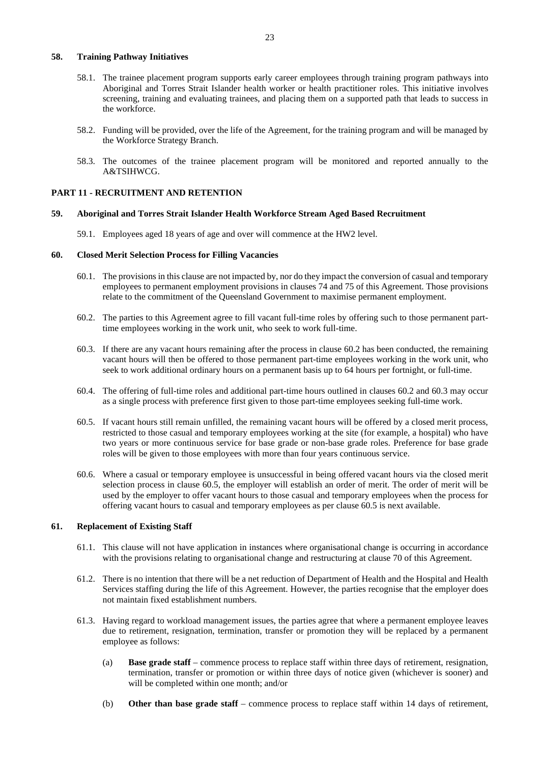#### <span id="page-23-0"></span>**58. Training Pathway Initiatives**

- 58.1. The trainee placement program supports early career employees through training program pathways into Aboriginal and Torres Strait Islander health worker or health practitioner roles. This initiative involves screening, training and evaluating trainees, and placing them on a supported path that leads to success in the workforce.
- 58.2. Funding will be provided, over the life of the Agreement, for the training program and will be managed by the Workforce Strategy Branch.
- 58.3. The outcomes of the trainee placement program will be monitored and reported annually to the A&TSIHWCG.

#### <span id="page-23-1"></span>**PART 11 - RECRUITMENT AND RETENTION**

#### <span id="page-23-2"></span>**59. Aboriginal and Torres Strait Islander Health Workforce Stream Aged Based Recruitment**

59.1. Employees aged 18 years of age and over will commence at the HW2 level.

### <span id="page-23-3"></span>**60. Closed Merit Selection Process for Filling Vacancies**

- 60.1. The provisions in this clause are not impacted by, nor do they impact the conversion of casual and temporary employees to permanent employment provisions in clauses 74 and 75 of this Agreement. Those provisions relate to the commitment of the Queensland Government to maximise permanent employment.
- <span id="page-23-5"></span>60.2. The parties to this Agreement agree to fill vacant full-time roles by offering such to those permanent parttime employees working in the work unit, who seek to work full-time.
- <span id="page-23-6"></span>60.3. If there are any vacant hours remaining after the process in clause [60.2](#page-23-5) has been conducted, the remaining vacant hours will then be offered to those permanent part-time employees working in the work unit, who seek to work additional ordinary hours on a permanent basis up to 64 hours per fortnight, or full-time.
- 60.4. The offering of full-time roles and additional part-time hours outlined in clauses [60.2](#page-23-5) and [60.3](#page-23-6) may occur as a single process with preference first given to those part-time employees seeking full-time work.
- <span id="page-23-7"></span>60.5. If vacant hours still remain unfilled, the remaining vacant hours will be offered by a closed merit process, restricted to those casual and temporary employees working at the site (for example, a hospital) who have two years or more continuous service for base grade or non-base grade roles. Preference for base grade roles will be given to those employees with more than four years continuous service.
- 60.6. Where a casual or temporary employee is unsuccessful in being offered vacant hours via the closed merit selection process in clause [60.5,](#page-23-7) the employer will establish an order of merit. The order of merit will be used by the employer to offer vacant hours to those casual and temporary employees when the process for offering vacant hours to casual and temporary employees as per clause [60.5](#page-23-7) is next available.

#### <span id="page-23-4"></span>**61. Replacement of Existing Staff**

- 61.1. This clause will not have application in instances where organisational change is occurring in accordance with the provisions relating to organisational change and restructuring at clause 70 of this Agreement.
- 61.2. There is no intention that there will be a net reduction of Department of Health and the Hospital and Health Services staffing during the life of this Agreement. However, the parties recognise that the employer does not maintain fixed establishment numbers.
- <span id="page-23-8"></span>61.3. Having regard to workload management issues, the parties agree that where a permanent employee leaves due to retirement, resignation, termination, transfer or promotion they will be replaced by a permanent employee as follows:
	- (a) **Base grade staff** commence process to replace staff within three days of retirement, resignation, termination, transfer or promotion or within three days of notice given (whichever is sooner) and will be completed within one month; and/or
	- (b) **Other than base grade staff** commence process to replace staff within 14 days of retirement,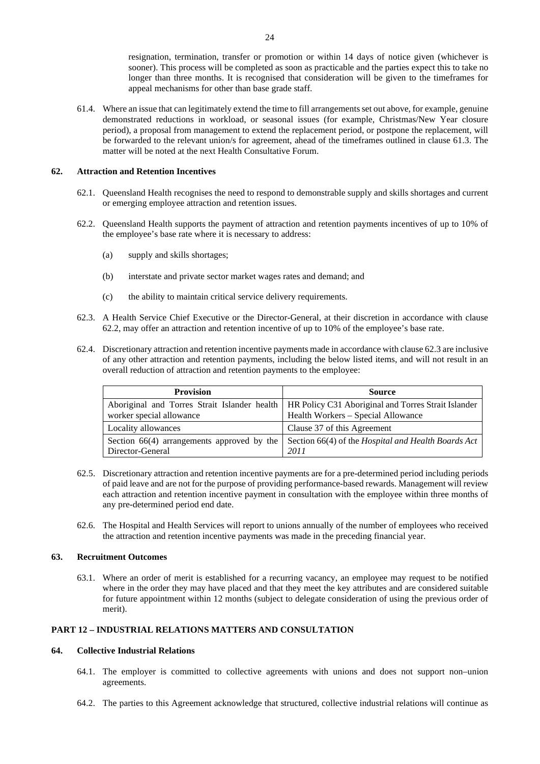resignation, termination, transfer or promotion or within 14 days of notice given (whichever is sooner). This process will be completed as soon as practicable and the parties expect this to take no longer than three months. It is recognised that consideration will be given to the timeframes for appeal mechanisms for other than base grade staff.

61.4. Where an issue that can legitimately extend the time to fill arrangements set out above, for example, genuine demonstrated reductions in workload, or seasonal issues (for example, Christmas/New Year closure period), a proposal from management to extend the replacement period, or postpone the replacement, will be forwarded to the relevant union/s for agreement, ahead of the timeframes outlined in clause [61.3.](#page-23-8) The matter will be noted at the next Health Consultative Forum.

# <span id="page-24-0"></span>**62. Attraction and Retention Incentives**

- 62.1. Queensland Health recognises the need to respond to demonstrable supply and skills shortages and current or emerging employee attraction and retention issues.
- <span id="page-24-4"></span>62.2. Queensland Health supports the payment of attraction and retention payments incentives of up to 10% of the employee's base rate where it is necessary to address:
	- (a) supply and skills shortages;
	- (b) interstate and private sector market wages rates and demand; and
	- (c) the ability to maintain critical service delivery requirements.
- <span id="page-24-5"></span>62.3. A Health Service Chief Executive or the Director-General, at their discretion in accordance with clause [62.2,](#page-24-4) may offer an attraction and retention incentive of up to 10% of the employee's base rate.
- 62.4. Discretionary attraction and retention incentive payments made in accordance with clause [62.3](#page-24-5) are inclusive of any other attraction and retention payments, including the below listed items, and will not result in an overall reduction of attraction and retention payments to the employee:

| <b>Provision</b>                             | <b>Source</b>                                       |
|----------------------------------------------|-----------------------------------------------------|
| Aboriginal and Torres Strait Islander health | HR Policy C31 Aboriginal and Torres Strait Islander |
| worker special allowance                     | Health Workers - Special Allowance                  |
| Locality allowances                          | Clause 37 of this Agreement                         |
| Section $66(4)$ arrangements approved by the | Section 66(4) of the Hospital and Health Boards Act |
| Director-General                             | 2011                                                |

- 62.5. Discretionary attraction and retention incentive payments are for a pre-determined period including periods of paid leave and are not for the purpose of providing performance-based rewards. Management will review each attraction and retention incentive payment in consultation with the employee within three months of any pre-determined period end date.
- 62.6. The Hospital and Health Services will report to unions annually of the number of employees who received the attraction and retention incentive payments was made in the preceding financial year.

#### <span id="page-24-1"></span>**63. Recruitment Outcomes**

63.1. Where an order of merit is established for a recurring vacancy, an employee may request to be notified where in the order they may have placed and that they meet the key attributes and are considered suitable for future appointment within 12 months (subject to delegate consideration of using the previous order of merit).

# <span id="page-24-2"></span>**PART 12 – INDUSTRIAL RELATIONS MATTERS AND CONSULTATION**

# <span id="page-24-3"></span>**64. Collective Industrial Relations**

- 64.1. The employer is committed to collective agreements with unions and does not support non–union agreements.
- 64.2. The parties to this Agreement acknowledge that structured, collective industrial relations will continue as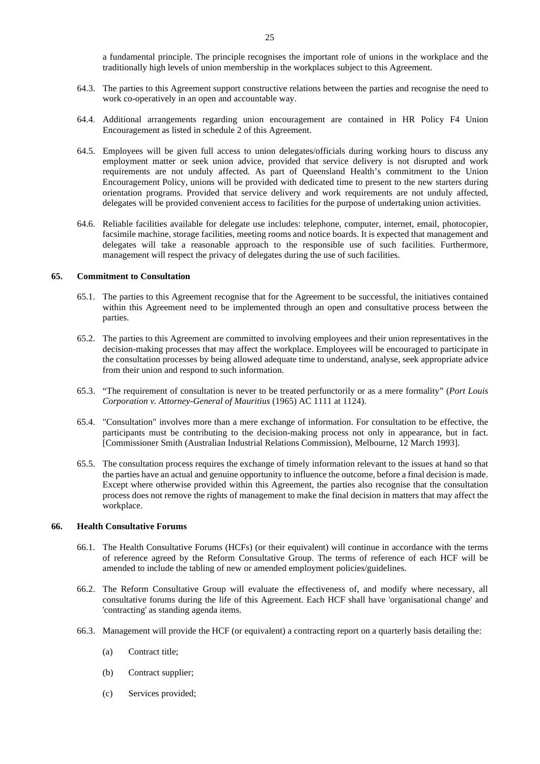a fundamental principle. The principle recognises the important role of unions in the workplace and the traditionally high levels of union membership in the workplaces subject to this Agreement.

- 64.3. The parties to this Agreement support constructive relations between the parties and recognise the need to work co-operatively in an open and accountable way.
- 64.4. Additional arrangements regarding union encouragement are contained in HR Policy F4 Union Encouragement as listed in schedule 2 of this Agreement.
- 64.5. Employees will be given full access to union delegates/officials during working hours to discuss any employment matter or seek union advice, provided that service delivery is not disrupted and work requirements are not unduly affected. As part of Queensland Health's commitment to the Union Encouragement Policy, unions will be provided with dedicated time to present to the new starters during orientation programs. Provided that service delivery and work requirements are not unduly affected, delegates will be provided convenient access to facilities for the purpose of undertaking union activities.
- 64.6. Reliable facilities available for delegate use includes: telephone, computer, internet, email, photocopier, facsimile machine, storage facilities, meeting rooms and notice boards. It is expected that management and delegates will take a reasonable approach to the responsible use of such facilities. Furthermore, management will respect the privacy of delegates during the use of such facilities.

# <span id="page-25-0"></span>**65. Commitment to Consultation**

- 65.1. The parties to this Agreement recognise that for the Agreement to be successful, the initiatives contained within this Agreement need to be implemented through an open and consultative process between the parties.
- 65.2. The parties to this Agreement are committed to involving employees and their union representatives in the decision-making processes that may affect the workplace. Employees will be encouraged to participate in the consultation processes by being allowed adequate time to understand, analyse, seek appropriate advice from their union and respond to such information.
- 65.3. "The requirement of consultation is never to be treated perfunctorily or as a mere formality" (*Port Louis Corporation v. Attorney-General of Mauritius* (1965) AC 1111 at 1124).
- 65.4. "Consultation" involves more than a mere exchange of information. For consultation to be effective, the participants must be contributing to the decision-making process not only in appearance, but in fact. [Commissioner Smith (Australian Industrial Relations Commission), Melbourne, 12 March 1993].
- 65.5. The consultation process requires the exchange of timely information relevant to the issues at hand so that the parties have an actual and genuine opportunity to influence the outcome, before a final decision is made. Except where otherwise provided within this Agreement, the parties also recognise that the consultation process does not remove the rights of management to make the final decision in matters that may affect the workplace.

#### <span id="page-25-1"></span>**66. Health Consultative Forums**

- 66.1. The Health Consultative Forums (HCFs) (or their equivalent) will continue in accordance with the terms of reference agreed by the Reform Consultative Group. The terms of reference of each HCF will be amended to include the tabling of new or amended employment policies/guidelines.
- 66.2. The Reform Consultative Group will evaluate the effectiveness of, and modify where necessary, all consultative forums during the life of this Agreement. Each HCF shall have 'organisational change' and 'contracting' as standing agenda items.
- 66.3. Management will provide the HCF (or equivalent) a contracting report on a quarterly basis detailing the:
	- (a) Contract title;
	- (b) Contract supplier;
	- (c) Services provided;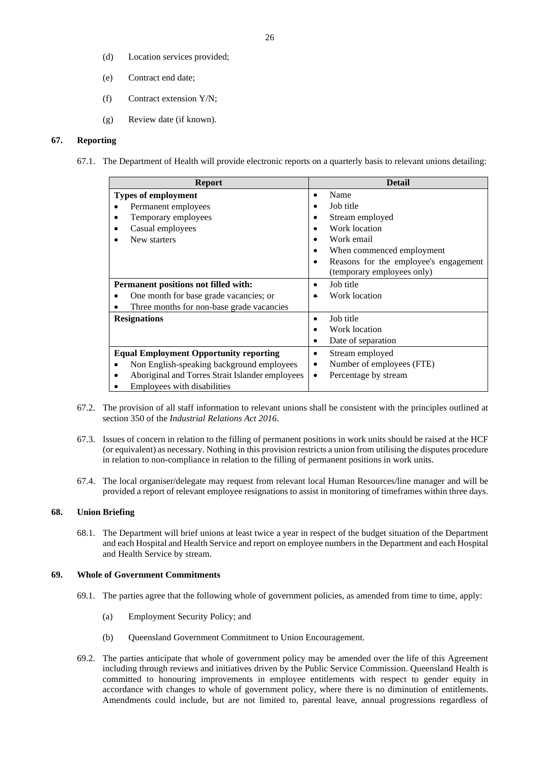- (d) Location services provided;
- (e) Contract end date;
- (f) Contract extension Y/N;
- (g) Review date (if known).

#### <span id="page-26-0"></span>**67. Reporting**

67.1. The Department of Health will provide electronic reports on a quarterly basis to relevant unions detailing:

| <b>Report</b>                                   | <b>Detail</b>                              |
|-------------------------------------------------|--------------------------------------------|
| <b>Types of employment</b>                      | Name                                       |
| Permanent employees                             | Job title                                  |
| Temporary employees                             | Stream employed                            |
| Casual employees                                | Work location                              |
| New starters                                    | Work email                                 |
|                                                 | When commenced employment                  |
|                                                 | Reasons for the employee's engagement<br>٠ |
|                                                 | (temporary employees only)                 |
| <b>Permanent positions not filled with:</b>     | Job title                                  |
| One month for base grade vacancies; or          | Work location                              |
| Three months for non-base grade vacancies       |                                            |
| <b>Resignations</b>                             | Job title                                  |
|                                                 | Work location                              |
|                                                 | Date of separation                         |
| <b>Equal Employment Opportunity reporting</b>   | Stream employed<br>٠                       |
| Non English-speaking background employees       | Number of employees (FTE)<br>٠             |
| Aboriginal and Torres Strait Islander employees | Percentage by stream<br>٠                  |
| Employees with disabilities                     |                                            |

- 67.2. The provision of all staff information to relevant unions shall be consistent with the principles outlined at section 350 of the *Industrial Relations Act 2016*.
- 67.3. Issues of concern in relation to the filling of permanent positions in work units should be raised at the HCF (or equivalent) as necessary. Nothing in this provision restricts a union from utilising the disputes procedure in relation to non-compliance in relation to the filling of permanent positions in work units.
- 67.4. The local organiser/delegate may request from relevant local Human Resources/line manager and will be provided a report of relevant employee resignations to assist in monitoring of timeframes within three days.

# <span id="page-26-1"></span>**68. Union Briefing**

68.1. The Department will brief unions at least twice a year in respect of the budget situation of the Department and each Hospital and Health Service and report on employee numbers in the Department and each Hospital and Health Service by stream.

# <span id="page-26-2"></span>**69. Whole of Government Commitments**

- 69.1. The parties agree that the following whole of government policies, as amended from time to time, apply:
	- (a) Employment Security Policy; and
	- (b) Queensland Government Commitment to Union Encouragement.
- 69.2. The parties anticipate that whole of government policy may be amended over the life of this Agreement including through reviews and initiatives driven by the Public Service Commission. Queensland Health is committed to honouring improvements in employee entitlements with respect to gender equity in accordance with changes to whole of government policy, where there is no diminution of entitlements. Amendments could include, but are not limited to, parental leave, annual progressions regardless of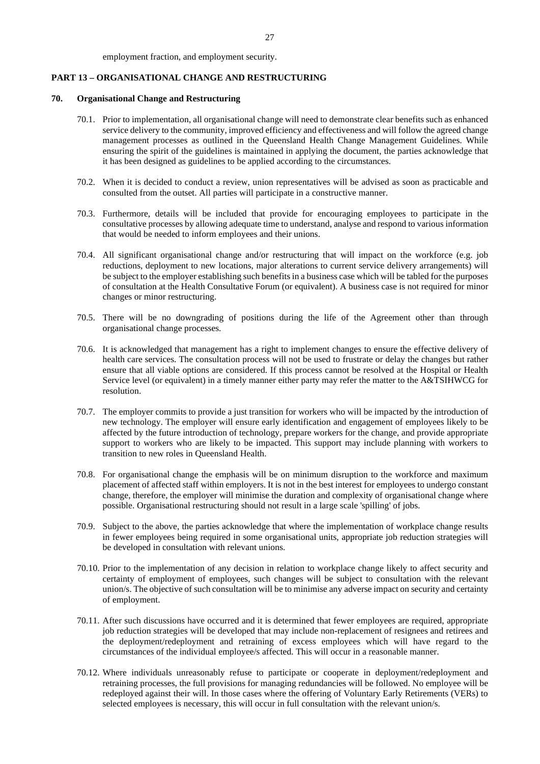#### employment fraction, and employment security.

# <span id="page-27-0"></span>**PART 13 – ORGANISATIONAL CHANGE AND RESTRUCTURING**

## <span id="page-27-1"></span>**70. Organisational Change and Restructuring**

- 70.1. Prior to implementation, all organisational change will need to demonstrate clear benefits such as enhanced service delivery to the community, improved efficiency and effectiveness and will follow the agreed change management processes as outlined in the Queensland Health Change Management Guidelines. While ensuring the spirit of the guidelines is maintained in applying the document, the parties acknowledge that it has been designed as guidelines to be applied according to the circumstances.
- 70.2. When it is decided to conduct a review, union representatives will be advised as soon as practicable and consulted from the outset. All parties will participate in a constructive manner.
- 70.3. Furthermore, details will be included that provide for encouraging employees to participate in the consultative processes by allowing adequate time to understand, analyse and respond to various information that would be needed to inform employees and their unions.
- 70.4. All significant organisational change and/or restructuring that will impact on the workforce (e.g. job reductions, deployment to new locations, major alterations to current service delivery arrangements) will be subject to the employer establishing such benefits in a business case which will be tabled for the purposes of consultation at the Health Consultative Forum (or equivalent). A business case is not required for minor changes or minor restructuring.
- 70.5. There will be no downgrading of positions during the life of the Agreement other than through organisational change processes.
- 70.6. It is acknowledged that management has a right to implement changes to ensure the effective delivery of health care services. The consultation process will not be used to frustrate or delay the changes but rather ensure that all viable options are considered. If this process cannot be resolved at the Hospital or Health Service level (or equivalent) in a timely manner either party may refer the matter to the A&TSIHWCG for resolution.
- 70.7. The employer commits to provide a just transition for workers who will be impacted by the introduction of new technology. The employer will ensure early identification and engagement of employees likely to be affected by the future introduction of technology, prepare workers for the change, and provide appropriate support to workers who are likely to be impacted. This support may include planning with workers to transition to new roles in Queensland Health.
- 70.8. For organisational change the emphasis will be on minimum disruption to the workforce and maximum placement of affected staff within employers. It is not in the best interest for employees to undergo constant change, therefore, the employer will minimise the duration and complexity of organisational change where possible. Organisational restructuring should not result in a large scale 'spilling' of jobs.
- 70.9. Subject to the above, the parties acknowledge that where the implementation of workplace change results in fewer employees being required in some organisational units, appropriate job reduction strategies will be developed in consultation with relevant unions.
- 70.10. Prior to the implementation of any decision in relation to workplace change likely to affect security and certainty of employment of employees, such changes will be subject to consultation with the relevant union/s. The objective of such consultation will be to minimise any adverse impact on security and certainty of employment.
- 70.11. After such discussions have occurred and it is determined that fewer employees are required, appropriate job reduction strategies will be developed that may include non-replacement of resignees and retirees and the deployment/redeployment and retraining of excess employees which will have regard to the circumstances of the individual employee/s affected. This will occur in a reasonable manner.
- 70.12. Where individuals unreasonably refuse to participate or cooperate in deployment/redeployment and retraining processes, the full provisions for managing redundancies will be followed. No employee will be redeployed against their will. In those cases where the offering of Voluntary Early Retirements (VERs) to selected employees is necessary, this will occur in full consultation with the relevant union/s.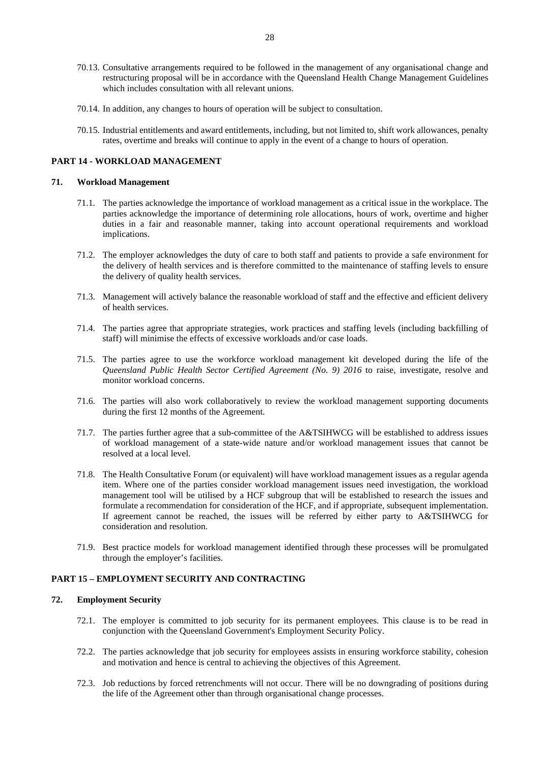- 70.13. Consultative arrangements required to be followed in the management of any organisational change and restructuring proposal will be in accordance with the Queensland Health Change Management Guidelines which includes consultation with all relevant unions.
- 70.14. In addition, any changes to hours of operation will be subject to consultation.
- 70.15. Industrial entitlements and award entitlements, including, but not limited to, shift work allowances, penalty rates, overtime and breaks will continue to apply in the event of a change to hours of operation.

# <span id="page-28-0"></span>**PART 14 - WORKLOAD MANAGEMENT**

#### <span id="page-28-1"></span>**71. Workload Management**

- 71.1. The parties acknowledge the importance of workload management as a critical issue in the workplace. The parties acknowledge the importance of determining role allocations, hours of work, overtime and higher duties in a fair and reasonable manner, taking into account operational requirements and workload implications.
- 71.2. The employer acknowledges the duty of care to both staff and patients to provide a safe environment for the delivery of health services and is therefore committed to the maintenance of staffing levels to ensure the delivery of quality health services.
- 71.3. Management will actively balance the reasonable workload of staff and the effective and efficient delivery of health services.
- 71.4. The parties agree that appropriate strategies, work practices and staffing levels (including backfilling of staff) will minimise the effects of excessive workloads and/or case loads.
- 71.5. The parties agree to use the workforce workload management kit developed during the life of the *Queensland Public Health Sector Certified Agreement (No. 9) 2016* to raise, investigate, resolve and monitor workload concerns.
- 71.6. The parties will also work collaboratively to review the workload management supporting documents during the first 12 months of the Agreement.
- 71.7. The parties further agree that a sub-committee of the A&TSIHWCG will be established to address issues of workload management of a state-wide nature and/or workload management issues that cannot be resolved at a local level.
- 71.8. The Health Consultative Forum (or equivalent) will have workload management issues as a regular agenda item. Where one of the parties consider workload management issues need investigation, the workload management tool will be utilised by a HCF subgroup that will be established to research the issues and formulate a recommendation for consideration of the HCF, and if appropriate, subsequent implementation. If agreement cannot be reached, the issues will be referred by either party to A&TSIHWCG for consideration and resolution.
- 71.9. Best practice models for workload management identified through these processes will be promulgated through the employer's facilities.

# <span id="page-28-2"></span>**PART 15 – EMPLOYMENT SECURITY AND CONTRACTING**

# <span id="page-28-3"></span>**72. Employment Security**

- 72.1. The employer is committed to job security for its permanent employees. This clause is to be read in conjunction with the Queensland Government's Employment Security Policy.
- 72.2. The parties acknowledge that job security for employees assists in ensuring workforce stability, cohesion and motivation and hence is central to achieving the objectives of this Agreement.
- 72.3. Job reductions by forced retrenchments will not occur. There will be no downgrading of positions during the life of the Agreement other than through organisational change processes.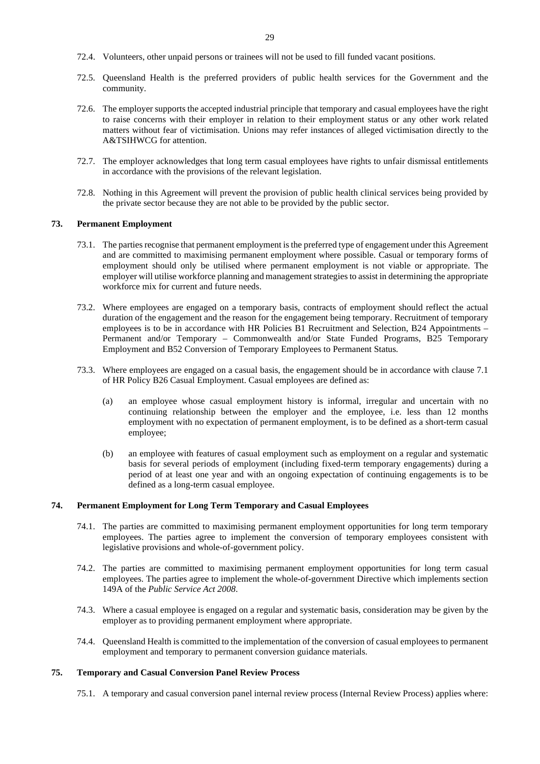- 72.4. Volunteers, other unpaid persons or trainees will not be used to fill funded vacant positions.
- 72.5. Queensland Health is the preferred providers of public health services for the Government and the community.
- 72.6. The employer supports the accepted industrial principle that temporary and casual employees have the right to raise concerns with their employer in relation to their employment status or any other work related matters without fear of victimisation. Unions may refer instances of alleged victimisation directly to the A&TSIHWCG for attention.
- 72.7. The employer acknowledges that long term casual employees have rights to unfair dismissal entitlements in accordance with the provisions of the relevant legislation.
- 72.8. Nothing in this Agreement will prevent the provision of public health clinical services being provided by the private sector because they are not able to be provided by the public sector.

# <span id="page-29-0"></span>**73. Permanent Employment**

- 73.1. The parties recognise that permanent employment is the preferred type of engagement under this Agreement and are committed to maximising permanent employment where possible. Casual or temporary forms of employment should only be utilised where permanent employment is not viable or appropriate. The employer will utilise workforce planning and management strategies to assist in determining the appropriate workforce mix for current and future needs.
- 73.2. Where employees are engaged on a temporary basis, contracts of employment should reflect the actual duration of the engagement and the reason for the engagement being temporary. Recruitment of temporary employees is to be in accordance with HR Policies B1 Recruitment and Selection, B24 Appointments – Permanent and/or Temporary – Commonwealth and/or State Funded Programs, B25 Temporary Employment and B52 Conversion of Temporary Employees to Permanent Status*.*
- 73.3. Where employees are engaged on a casual basis, the engagement should be in accordance with clause 7.1 of HR Policy B26 Casual Employment. Casual employees are defined as:
	- (a) an employee whose casual employment history is informal, irregular and uncertain with no continuing relationship between the employer and the employee, i.e. less than 12 months employment with no expectation of permanent employment, is to be defined as a short-term casual employee;
	- (b) an employee with features of casual employment such as employment on a regular and systematic basis for several periods of employment (including fixed-term temporary engagements) during a period of at least one year and with an ongoing expectation of continuing engagements is to be defined as a long-term casual employee.

# <span id="page-29-1"></span>**74. Permanent Employment for Long Term Temporary and Casual Employees**

- 74.1. The parties are committed to maximising permanent employment opportunities for long term temporary employees. The parties agree to implement the conversion of temporary employees consistent with legislative provisions and whole-of-government policy.
- 74.2. The parties are committed to maximising permanent employment opportunities for long term casual employees. The parties agree to implement the whole-of-government Directive which implements section 149A of the *Public Service Act 2008*.
- 74.3. Where a casual employee is engaged on a regular and systematic basis, consideration may be given by the employer as to providing permanent employment where appropriate.
- 74.4. Queensland Health is committed to the implementation of the conversion of casual employees to permanent employment and temporary to permanent conversion guidance materials.

#### <span id="page-29-2"></span>**75. Temporary and Casual Conversion Panel Review Process**

75.1. A temporary and casual conversion panel internal review process (Internal Review Process) applies where: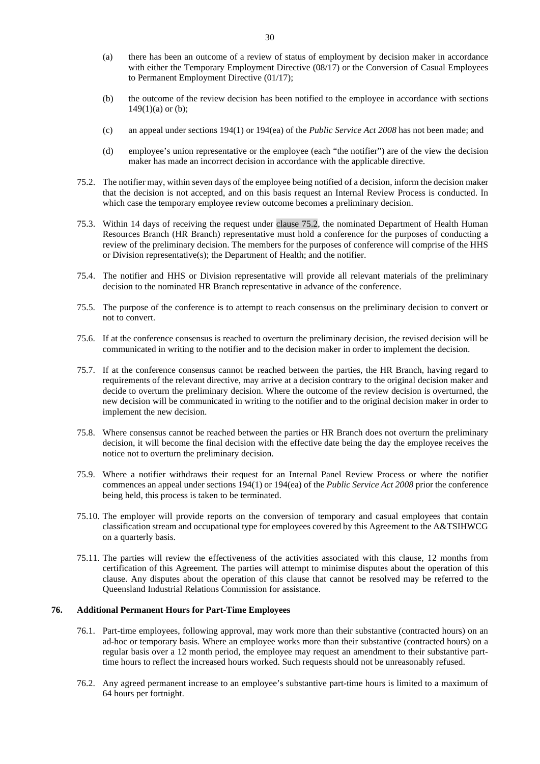- (a) there has been an outcome of a review of status of employment by decision maker in accordance with either the Temporary Employment Directive (08/17) or the Conversion of Casual Employees to Permanent Employment Directive (01/17);
- (b) the outcome of the review decision has been notified to the employee in accordance with sections  $149(1)(a)$  or (b);
- (c) an appeal under sections 194(1) or 194(ea) of the *Public Service Act 2008* has not been made; and
- (d) employee's union representative or the employee (each "the notifier") are of the view the decision maker has made an incorrect decision in accordance with the applicable directive.
- <span id="page-30-1"></span>75.2. The notifier may, within seven days of the employee being notified of a decision, inform the decision maker that the decision is not accepted, and on this basis request an Internal Review Process is conducted. In which case the temporary employee review outcome becomes a preliminary decision.
- 75.3. Within 14 days of receiving the request under clause [75.2,](#page-30-1) the nominated Department of Health Human Resources Branch (HR Branch) representative must hold a conference for the purposes of conducting a review of the preliminary decision. The members for the purposes of conference will comprise of the HHS or Division representative(s); the Department of Health; and the notifier.
- 75.4. The notifier and HHS or Division representative will provide all relevant materials of the preliminary decision to the nominated HR Branch representative in advance of the conference.
- 75.5. The purpose of the conference is to attempt to reach consensus on the preliminary decision to convert or not to convert.
- 75.6. If at the conference consensus is reached to overturn the preliminary decision, the revised decision will be communicated in writing to the notifier and to the decision maker in order to implement the decision.
- 75.7. If at the conference consensus cannot be reached between the parties, the HR Branch, having regard to requirements of the relevant directive, may arrive at a decision contrary to the original decision maker and decide to overturn the preliminary decision. Where the outcome of the review decision is overturned, the new decision will be communicated in writing to the notifier and to the original decision maker in order to implement the new decision.
- 75.8. Where consensus cannot be reached between the parties or HR Branch does not overturn the preliminary decision, it will become the final decision with the effective date being the day the employee receives the notice not to overturn the preliminary decision.
- 75.9. Where a notifier withdraws their request for an Internal Panel Review Process or where the notifier commences an appeal under sections 194(1) or 194(ea) of the *Public Service Act 2008* prior the conference being held, this process is taken to be terminated.
- 75.10. The employer will provide reports on the conversion of temporary and casual employees that contain classification stream and occupational type for employees covered by this Agreement to the A&TSIHWCG on a quarterly basis.
- 75.11. The parties will review the effectiveness of the activities associated with this clause, 12 months from certification of this Agreement. The parties will attempt to minimise disputes about the operation of this clause. Any disputes about the operation of this clause that cannot be resolved may be referred to the Queensland Industrial Relations Commission for assistance.

# <span id="page-30-0"></span>**76. Additional Permanent Hours for Part-Time Employees**

- 76.1. Part-time employees, following approval, may work more than their substantive (contracted hours) on an ad-hoc or temporary basis. Where an employee works more than their substantive (contracted hours) on a regular basis over a 12 month period, the employee may request an amendment to their substantive parttime hours to reflect the increased hours worked. Such requests should not be unreasonably refused.
- 76.2. Any agreed permanent increase to an employee's substantive part-time hours is limited to a maximum of 64 hours per fortnight.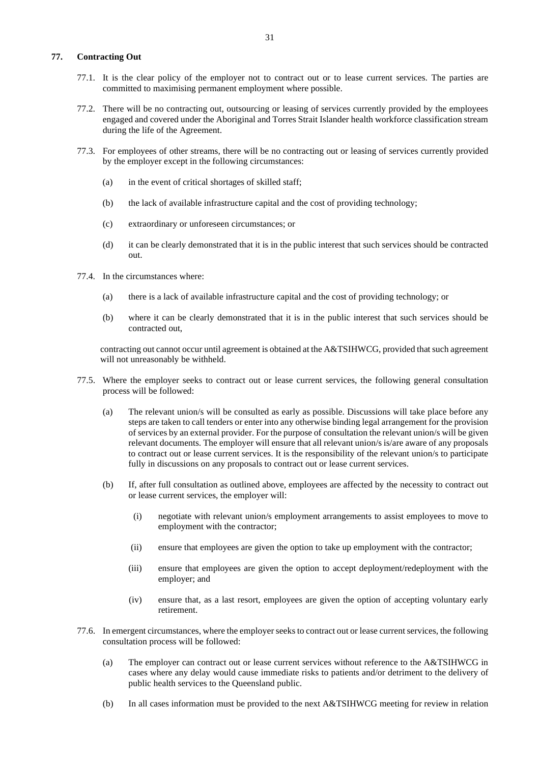# <span id="page-31-0"></span>**77. Contracting Out**

- 77.1. It is the clear policy of the employer not to contract out or to lease current services. The parties are committed to maximising permanent employment where possible.
- 77.2. There will be no contracting out, outsourcing or leasing of services currently provided by the employees engaged and covered under the Aboriginal and Torres Strait Islander health workforce classification stream during the life of the Agreement.
- 77.3. For employees of other streams, there will be no contracting out or leasing of services currently provided by the employer except in the following circumstances:
	- (a) in the event of critical shortages of skilled staff;
	- (b) the lack of available infrastructure capital and the cost of providing technology;
	- (c) extraordinary or unforeseen circumstances; or
	- (d) it can be clearly demonstrated that it is in the public interest that such services should be contracted out.
- 77.4. In the circumstances where:
	- (a) there is a lack of available infrastructure capital and the cost of providing technology; or
	- (b) where it can be clearly demonstrated that it is in the public interest that such services should be contracted out,

contracting out cannot occur until agreement is obtained at the A&TSIHWCG, provided that such agreement will not unreasonably be withheld.

- 77.5. Where the employer seeks to contract out or lease current services, the following general consultation process will be followed:
	- (a) The relevant union/s will be consulted as early as possible. Discussions will take place before any steps are taken to call tenders or enter into any otherwise binding legal arrangement for the provision of services by an external provider. For the purpose of consultation the relevant union/s will be given relevant documents. The employer will ensure that all relevant union/s is/are aware of any proposals to contract out or lease current services. It is the responsibility of the relevant union/s to participate fully in discussions on any proposals to contract out or lease current services.
	- (b) If, after full consultation as outlined above, employees are affected by the necessity to contract out or lease current services, the employer will:
		- (i) negotiate with relevant union/s employment arrangements to assist employees to move to employment with the contractor;
		- (ii) ensure that employees are given the option to take up employment with the contractor;
		- (iii) ensure that employees are given the option to accept deployment/redeployment with the employer; and
		- (iv) ensure that, as a last resort, employees are given the option of accepting voluntary early retirement.
- 77.6. In emergent circumstances, where the employer seeks to contract out or lease current services, the following consultation process will be followed:
	- (a) The employer can contract out or lease current services without reference to the A&TSIHWCG in cases where any delay would cause immediate risks to patients and/or detriment to the delivery of public health services to the Queensland public.
	- (b) In all cases information must be provided to the next A&TSIHWCG meeting for review in relation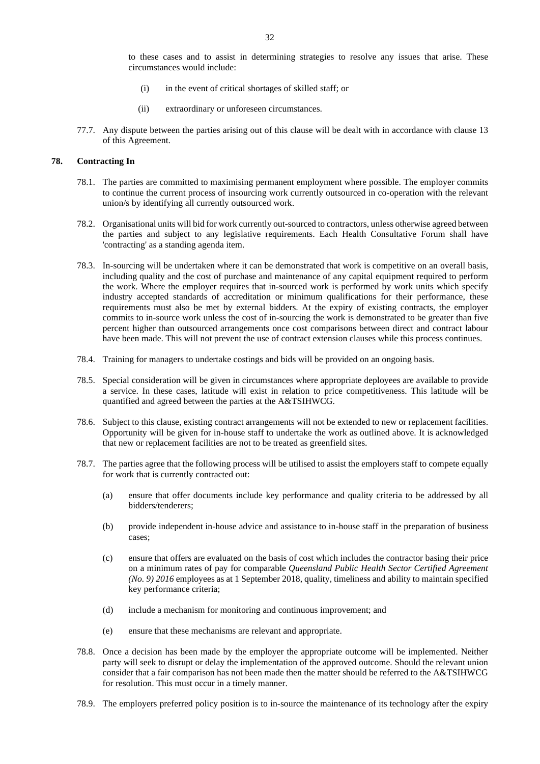to these cases and to assist in determining strategies to resolve any issues that arise. These circumstances would include:

- (i) in the event of critical shortages of skilled staff; or
- (ii) extraordinary or unforeseen circumstances.
- 77.7. Any dispute between the parties arising out of this clause will be dealt with in accordance with clause [13](#page-8-0) of this Agreement.

#### <span id="page-32-0"></span>**78. Contracting In**

- 78.1. The parties are committed to maximising permanent employment where possible. The employer commits to continue the current process of insourcing work currently outsourced in co-operation with the relevant union/s by identifying all currently outsourced work.
- 78.2. Organisational units will bid for work currently out-sourced to contractors, unless otherwise agreed between the parties and subject to any legislative requirements. Each Health Consultative Forum shall have 'contracting' as a standing agenda item.
- 78.3. In-sourcing will be undertaken where it can be demonstrated that work is competitive on an overall basis, including quality and the cost of purchase and maintenance of any capital equipment required to perform the work. Where the employer requires that in-sourced work is performed by work units which specify industry accepted standards of accreditation or minimum qualifications for their performance, these requirements must also be met by external bidders. At the expiry of existing contracts, the employer commits to in-source work unless the cost of in-sourcing the work is demonstrated to be greater than five percent higher than outsourced arrangements once cost comparisons between direct and contract labour have been made. This will not prevent the use of contract extension clauses while this process continues.
- 78.4. Training for managers to undertake costings and bids will be provided on an ongoing basis.
- 78.5. Special consideration will be given in circumstances where appropriate deployees are available to provide a service. In these cases, latitude will exist in relation to price competitiveness. This latitude will be quantified and agreed between the parties at the A&TSIHWCG.
- 78.6. Subject to this clause, existing contract arrangements will not be extended to new or replacement facilities. Opportunity will be given for in-house staff to undertake the work as outlined above. It is acknowledged that new or replacement facilities are not to be treated as greenfield sites.
- 78.7. The parties agree that the following process will be utilised to assist the employers staff to compete equally for work that is currently contracted out:
	- (a) ensure that offer documents include key performance and quality criteria to be addressed by all bidders/tenderers;
	- (b) provide independent in-house advice and assistance to in-house staff in the preparation of business cases;
	- (c) ensure that offers are evaluated on the basis of cost which includes the contractor basing their price on a minimum rates of pay for comparable *Queensland Public Health Sector Certified Agreement (No. 9) 2016* employees as at 1 September 2018, quality, timeliness and ability to maintain specified key performance criteria;
	- (d) include a mechanism for monitoring and continuous improvement; and
	- (e) ensure that these mechanisms are relevant and appropriate.
- 78.8. Once a decision has been made by the employer the appropriate outcome will be implemented. Neither party will seek to disrupt or delay the implementation of the approved outcome. Should the relevant union consider that a fair comparison has not been made then the matter should be referred to the A&TSIHWCG for resolution. This must occur in a timely manner.
- 78.9. The employers preferred policy position is to in-source the maintenance of its technology after the expiry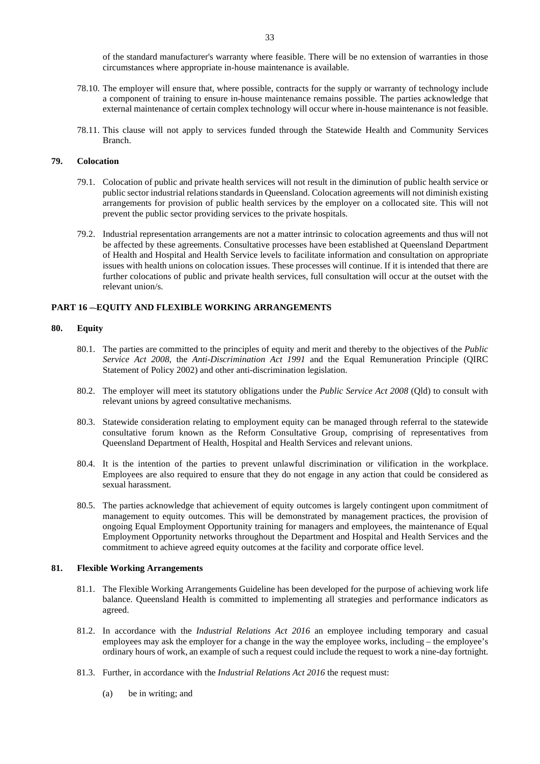of the standard manufacturer's warranty where feasible. There will be no extension of warranties in those circumstances where appropriate in-house maintenance is available.

- 78.10. The employer will ensure that, where possible, contracts for the supply or warranty of technology include a component of training to ensure in-house maintenance remains possible. The parties acknowledge that external maintenance of certain complex technology will occur where in-house maintenance is not feasible.
- 78.11. This clause will not apply to services funded through the Statewide Health and Community Services Branch.

#### <span id="page-33-0"></span>**79. Colocation**

- 79.1. Colocation of public and private health services will not result in the diminution of public health service or public sector industrial relations standards in Queensland. Colocation agreements will not diminish existing arrangements for provision of public health services by the employer on a collocated site. This will not prevent the public sector providing services to the private hospitals.
- 79.2. Industrial representation arrangements are not a matter intrinsic to colocation agreements and thus will not be affected by these agreements. Consultative processes have been established at Queensland Department of Health and Hospital and Health Service levels to facilitate information and consultation on appropriate issues with health unions on colocation issues. These processes will continue. If it is intended that there are further colocations of public and private health services, full consultation will occur at the outset with the relevant union/s.

# <span id="page-33-1"></span>**PART 16 – EQUITY AND FLEXIBLE WORKING ARRANGEMENTS**

#### <span id="page-33-2"></span>**80. Equity**

- 80.1. The parties are committed to the principles of equity and merit and thereby to the objectives of the *Public Service Act 2008*, the *Anti-Discrimination Act 1991* and the Equal Remuneration Principle (QIRC Statement of Policy 2002) and other anti-discrimination legislation.
- 80.2. The employer will meet its statutory obligations under the *Public Service Act 2008* (Qld) to consult with relevant unions by agreed consultative mechanisms.
- 80.3. Statewide consideration relating to employment equity can be managed through referral to the statewide consultative forum known as the Reform Consultative Group, comprising of representatives from Queensland Department of Health, Hospital and Health Services and relevant unions.
- 80.4. It is the intention of the parties to prevent unlawful discrimination or vilification in the workplace. Employees are also required to ensure that they do not engage in any action that could be considered as sexual harassment.
- 80.5. The parties acknowledge that achievement of equity outcomes is largely contingent upon commitment of management to equity outcomes. This will be demonstrated by management practices, the provision of ongoing Equal Employment Opportunity training for managers and employees, the maintenance of Equal Employment Opportunity networks throughout the Department and Hospital and Health Services and the commitment to achieve agreed equity outcomes at the facility and corporate office level.

#### <span id="page-33-3"></span>**81. Flexible Working Arrangements**

- 81.1. The Flexible Working Arrangements Guideline has been developed for the purpose of achieving work life balance. Queensland Health is committed to implementing all strategies and performance indicators as agreed.
- 81.2. In accordance with the *Industrial Relations Act 2016* an employee including temporary and casual employees may ask the employer for a change in the way the employee works, including – the employee's ordinary hours of work, an example of such a request could include the request to work a nine-day fortnight.
- 81.3. Further, in accordance with the *Industrial Relations Act 2016* the request must:
	- (a) be in writing; and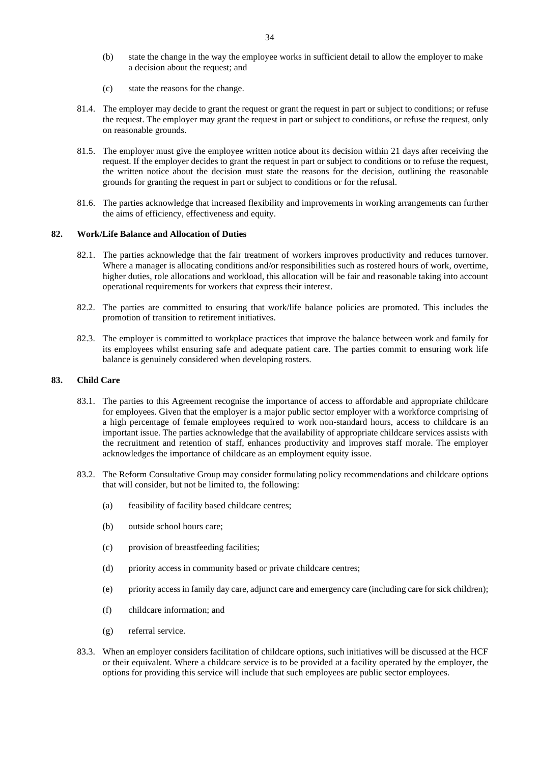- (b) state the change in the way the employee works in sufficient detail to allow the employer to make a decision about the request; and
- (c) state the reasons for the change.
- 81.4. The employer may decide to grant the request or grant the request in part or subject to conditions; or refuse the request. The employer may grant the request in part or subject to conditions, or refuse the request, only on reasonable grounds.
- 81.5. The employer must give the employee written notice about its decision within 21 days after receiving the request. If the employer decides to grant the request in part or subject to conditions or to refuse the request, the written notice about the decision must state the reasons for the decision, outlining the reasonable grounds for granting the request in part or subject to conditions or for the refusal.
- 81.6. The parties acknowledge that increased flexibility and improvements in working arrangements can further the aims of efficiency, effectiveness and equity.

## <span id="page-34-0"></span>**82. Work/Life Balance and Allocation of Duties**

- 82.1. The parties acknowledge that the fair treatment of workers improves productivity and reduces turnover. Where a manager is allocating conditions and/or responsibilities such as rostered hours of work, overtime, higher duties, role allocations and workload, this allocation will be fair and reasonable taking into account operational requirements for workers that express their interest.
- 82.2. The parties are committed to ensuring that work/life balance policies are promoted. This includes the promotion of transition to retirement initiatives.
- 82.3. The employer is committed to workplace practices that improve the balance between work and family for its employees whilst ensuring safe and adequate patient care. The parties commit to ensuring work life balance is genuinely considered when developing rosters.

# <span id="page-34-1"></span>**83. Child Care**

- 83.1. The parties to this Agreement recognise the importance of access to affordable and appropriate childcare for employees. Given that the employer is a major public sector employer with a workforce comprising of a high percentage of female employees required to work non-standard hours, access to childcare is an important issue. The parties acknowledge that the availability of appropriate childcare services assists with the recruitment and retention of staff, enhances productivity and improves staff morale. The employer acknowledges the importance of childcare as an employment equity issue.
- 83.2. The Reform Consultative Group may consider formulating policy recommendations and childcare options that will consider, but not be limited to, the following:
	- (a) feasibility of facility based childcare centres;
	- (b) outside school hours care;
	- (c) provision of breastfeeding facilities;
	- (d) priority access in community based or private childcare centres;
	- (e) priority access in family day care, adjunct care and emergency care (including care for sick children);
	- (f) childcare information; and
	- (g) referral service.
- 83.3. When an employer considers facilitation of childcare options, such initiatives will be discussed at the HCF or their equivalent. Where a childcare service is to be provided at a facility operated by the employer, the options for providing this service will include that such employees are public sector employees.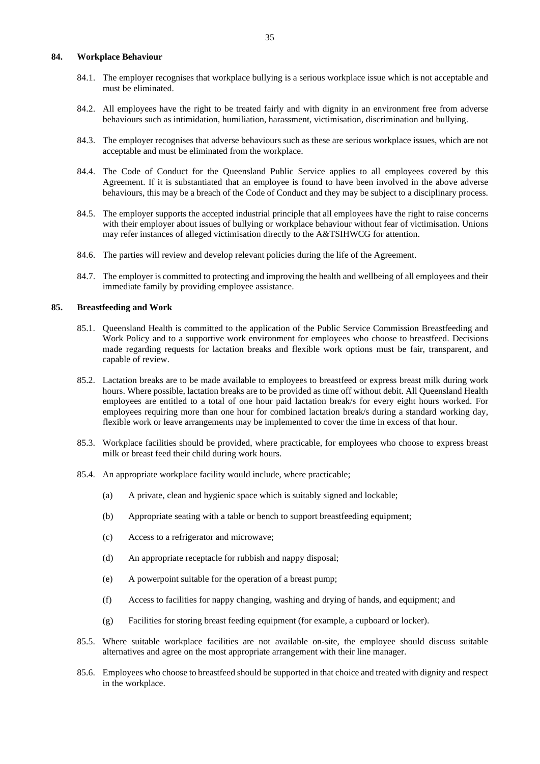# <span id="page-35-0"></span>**84. Workplace Behaviour**

- 84.1. The employer recognises that workplace bullying is a serious workplace issue which is not acceptable and must be eliminated.
- 84.2. All employees have the right to be treated fairly and with dignity in an environment free from adverse behaviours such as intimidation, humiliation, harassment, victimisation, discrimination and bullying.
- 84.3. The employer recognises that adverse behaviours such as these are serious workplace issues, which are not acceptable and must be eliminated from the workplace.
- 84.4. The Code of Conduct for the Queensland Public Service applies to all employees covered by this Agreement. If it is substantiated that an employee is found to have been involved in the above adverse behaviours, this may be a breach of the Code of Conduct and they may be subject to a disciplinary process.
- 84.5. The employer supports the accepted industrial principle that all employees have the right to raise concerns with their employer about issues of bullying or workplace behaviour without fear of victimisation. Unions may refer instances of alleged victimisation directly to the A&TSIHWCG for attention.
- 84.6. The parties will review and develop relevant policies during the life of the Agreement.
- 84.7. The employer is committed to protecting and improving the health and wellbeing of all employees and their immediate family by providing employee assistance.

#### <span id="page-35-1"></span>**85. Breastfeeding and Work**

- 85.1. Queensland Health is committed to the application of the Public Service Commission Breastfeeding and Work Policy and to a supportive work environment for employees who choose to breastfeed. Decisions made regarding requests for lactation breaks and flexible work options must be fair, transparent, and capable of review.
- 85.2. Lactation breaks are to be made available to employees to breastfeed or express breast milk during work hours. Where possible, lactation breaks are to be provided as time off without debit. All Queensland Health employees are entitled to a total of one hour paid lactation break/s for every eight hours worked. For employees requiring more than one hour for combined lactation break/s during a standard working day, flexible work or leave arrangements may be implemented to cover the time in excess of that hour.
- 85.3. Workplace facilities should be provided, where practicable, for employees who choose to express breast milk or breast feed their child during work hours.
- 85.4. An appropriate workplace facility would include, where practicable;
	- (a) A private, clean and hygienic space which is suitably signed and lockable;
	- (b) Appropriate seating with a table or bench to support breastfeeding equipment;
	- (c) Access to a refrigerator and microwave;
	- (d) An appropriate receptacle for rubbish and nappy disposal;
	- (e) A powerpoint suitable for the operation of a breast pump;
	- (f) Access to facilities for nappy changing, washing and drying of hands, and equipment; and
	- (g) Facilities for storing breast feeding equipment (for example, a cupboard or locker).
- 85.5. Where suitable workplace facilities are not available on-site, the employee should discuss suitable alternatives and agree on the most appropriate arrangement with their line manager.
- 85.6. Employees who choose to breastfeed should be supported in that choice and treated with dignity and respect in the workplace.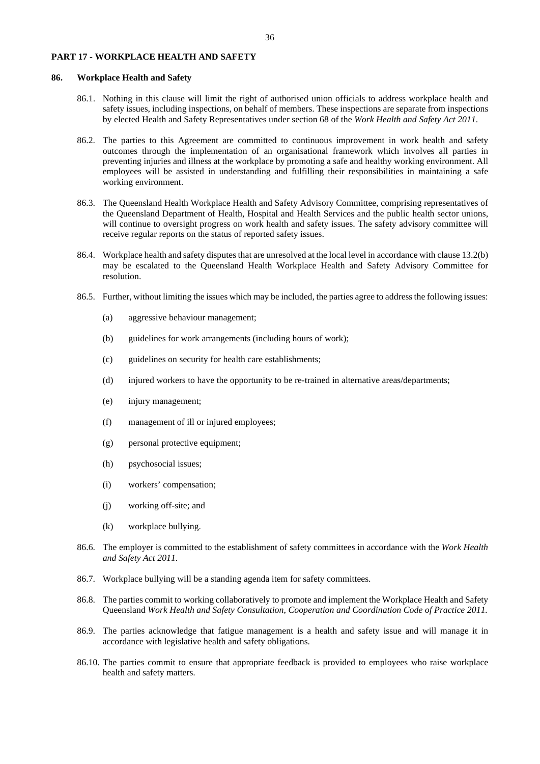### <span id="page-36-0"></span>**PART 17 - WORKPLACE HEALTH AND SAFETY**

# <span id="page-36-1"></span>**86. Workplace Health and Safety**

- 86.1. Nothing in this clause will limit the right of authorised union officials to address workplace health and safety issues, including inspections, on behalf of members. These inspections are separate from inspections by elected Health and Safety Representatives under section 68 of the *Work Health and Safety Act 2011*.
- 86.2. The parties to this Agreement are committed to continuous improvement in work health and safety outcomes through the implementation of an organisational framework which involves all parties in preventing injuries and illness at the workplace by promoting a safe and healthy working environment. All employees will be assisted in understanding and fulfilling their responsibilities in maintaining a safe working environment.
- 86.3. The Queensland Health Workplace Health and Safety Advisory Committee, comprising representatives of the Queensland Department of Health, Hospital and Health Services and the public health sector unions, will continue to oversight progress on work health and safety issues. The safety advisory committee will receive regular reports on the status of reported safety issues.
- 86.4. Workplace health and safety disputes that are unresolved at the local level in accordance with claus[e 13.2](#page-8-4)[\(b\)](#page-8-6) may be escalated to the Queensland Health Workplace Health and Safety Advisory Committee for resolution.
- 86.5. Further, without limiting the issues which may be included, the parties agree to address the following issues:
	- (a) aggressive behaviour management;
	- (b) guidelines for work arrangements (including hours of work);
	- (c) guidelines on security for health care establishments;
	- (d) injured workers to have the opportunity to be re-trained in alternative areas/departments;
	- (e) injury management;
	- (f) management of ill or injured employees;
	- (g) personal protective equipment;
	- (h) psychosocial issues;
	- (i) workers' compensation;
	- (j) working off-site; and
	- (k) workplace bullying.
- 86.6. The employer is committed to the establishment of safety committees in accordance with the *Work Health and Safety Act 2011*.
- 86.7. Workplace bullying will be a standing agenda item for safety committees.
- 86.8. The parties commit to working collaboratively to promote and implement the Workplace Health and Safety Queensland *Work Health and Safety Consultation*, *Cooperation and Coordination Code of Practice 2011.*
- 86.9. The parties acknowledge that fatigue management is a health and safety issue and will manage it in accordance with legislative health and safety obligations.
- 86.10. The parties commit to ensure that appropriate feedback is provided to employees who raise workplace health and safety matters.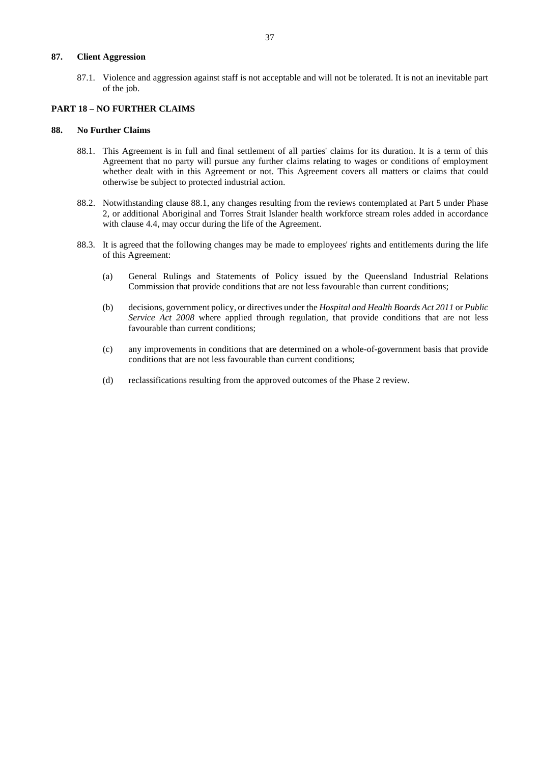# <span id="page-37-0"></span>**87. Client Aggression**

87.1. Violence and aggression against staff is not acceptable and will not be tolerated. It is not an inevitable part of the job.

# <span id="page-37-1"></span>**PART 18 – NO FURTHER CLAIMS**

#### <span id="page-37-3"></span><span id="page-37-2"></span>**88. No Further Claims**

- 88.1. This Agreement is in full and final settlement of all parties' claims for its duration. It is a term of this Agreement that no party will pursue any further claims relating to wages or conditions of employment whether dealt with in this Agreement or not. This Agreement covers all matters or claims that could otherwise be subject to protected industrial action.
- 88.2. Notwithstanding clause [88.1,](#page-37-3) any changes resulting from the reviews contemplated at Part 5 under Phase 2, or additional Aboriginal and Torres Strait Islander health workforce stream roles added in accordance with clause [4.4,](#page-5-6) may occur during the life of the Agreement.
- 88.3. It is agreed that the following changes may be made to employees' rights and entitlements during the life of this Agreement:
	- (a) General Rulings and Statements of Policy issued by the Queensland Industrial Relations Commission that provide conditions that are not less favourable than current conditions;
	- (b) decisions, government policy, or directives under the *Hospital and Health Boards Act 2011* or *Public Service Act 2008* where applied through regulation, that provide conditions that are not less favourable than current conditions;
	- (c) any improvements in conditions that are determined on a whole-of-government basis that provide conditions that are not less favourable than current conditions;
	- (d) reclassifications resulting from the approved outcomes of the Phase 2 review.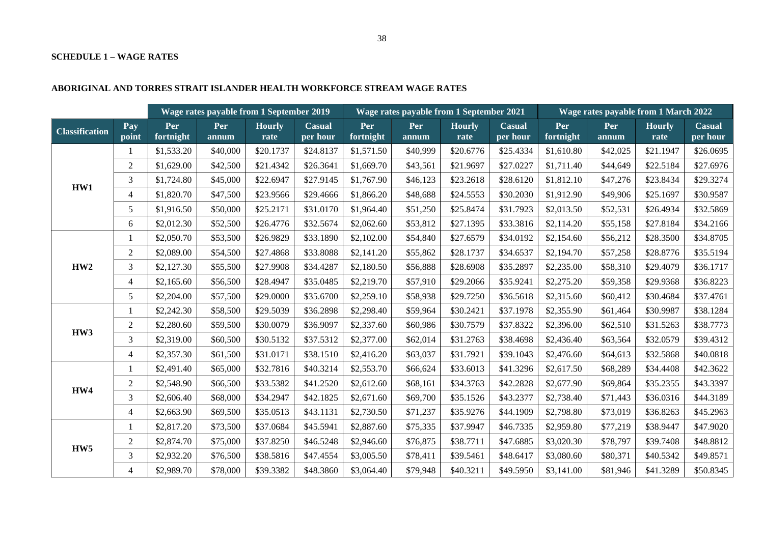# **SCHEDULE 1 – WAGE RATES**

# **ABORIGINAL AND TORRES STRAIT ISLANDER HEALTH WORKFORCE STREAM WAGE RATES**

<span id="page-38-0"></span>

|                       | Wage rates payable from 1 September 2019 |                  |                     | Wage rates payable from 1 September 2021 |                           |                  |              | Wage rates payable from 1 March 2022 |                           |                  |              |                       |                           |
|-----------------------|------------------------------------------|------------------|---------------------|------------------------------------------|---------------------------|------------------|--------------|--------------------------------------|---------------------------|------------------|--------------|-----------------------|---------------------------|
| <b>Classification</b> | Pay<br>point                             | Per<br>fortnight | <b>Per</b><br>annum | <b>Hourly</b><br>rate                    | <b>Casual</b><br>per hour | Per<br>fortnight | Per<br>annum | <b>Hourly</b><br>rate                | <b>Casual</b><br>per hour | Per<br>fortnight | Per<br>annum | <b>Hourly</b><br>rate | <b>Casual</b><br>per hour |
|                       |                                          | \$1,533.20       | \$40,000            | \$20.1737                                | \$24.8137                 | \$1,571.50       | \$40,999     | \$20.6776                            | \$25.4334                 | \$1,610.80       | \$42,025     | \$21.1947             | \$26.0695                 |
|                       | 2                                        | \$1,629.00       | \$42,500            | \$21.4342                                | \$26.3641                 | \$1,669.70       | \$43,561     | \$21.9697                            | \$27.0227                 | \$1,711.40       | \$44,649     | \$22.5184             | \$27.6976                 |
| HW1                   | 3                                        | \$1,724.80       | \$45,000            | \$22.6947                                | \$27.9145                 | \$1,767.90       | \$46,123     | \$23.2618                            | \$28.6120                 | \$1,812.10       | \$47,276     | \$23.8434             | \$29.3274                 |
|                       | $\overline{4}$                           | \$1,820.70       | \$47,500            | \$23.9566                                | \$29.4666                 | \$1,866.20       | \$48,688     | \$24.5553                            | \$30.2030                 | \$1,912.90       | \$49,906     | \$25.1697             | \$30.9587                 |
|                       | 5                                        | \$1,916.50       | \$50,000            | \$25.2171                                | \$31.0170                 | \$1,964.40       | \$51,250     | \$25.8474                            | \$31.7923                 | \$2,013.50       | \$52,531     | \$26.4934             | \$32.5869                 |
|                       | 6                                        | \$2,012.30       | \$52,500            | \$26.4776                                | \$32.5674                 | \$2,062.60       | \$53,812     | \$27.1395                            | \$33.3816                 | \$2,114.20       | \$55,158     | \$27.8184             | \$34.2166                 |
|                       |                                          | \$2,050.70       | \$53,500            | \$26.9829                                | \$33.1890                 | \$2,102.00       | \$54,840     | \$27.6579                            | \$34.0192                 | \$2,154.60       | \$56,212     | \$28.3500             | \$34.8705                 |
|                       | 2                                        | \$2,089.00       | \$54,500            | \$27.4868                                | \$33.8088                 | \$2,141.20       | \$55,862     | \$28.1737                            | \$34.6537                 | \$2,194.70       | \$57,258     | \$28.8776             | \$35.5194                 |
| HW2                   | 3                                        | \$2,127.30       | \$55,500            | \$27.9908                                | \$34.4287                 | \$2,180.50       | \$56,888     | \$28.6908                            | \$35.2897                 | \$2,235.00       | \$58,310     | \$29.4079             | \$36.1717                 |
|                       | $\overline{4}$                           | \$2,165.60       | \$56,500            | \$28.4947                                | \$35.0485                 | \$2,219.70       | \$57,910     | \$29.2066                            | \$35.9241                 | \$2,275.20       | \$59,358     | \$29.9368             | \$36.8223                 |
|                       | 5                                        | \$2,204.00       | \$57,500            | \$29.0000                                | \$35.6700                 | \$2,259.10       | \$58,938     | \$29.7250                            | \$36.5618                 | \$2,315.60       | \$60,412     | \$30.4684             | \$37.4761                 |
|                       |                                          | \$2,242.30       | \$58,500            | \$29.5039                                | \$36.2898                 | \$2,298.40       | \$59,964     | \$30.2421                            | \$37.1978                 | \$2,355.90       | \$61,464     | \$30.9987             | \$38.1284                 |
| HW3                   | $\overline{2}$                           | \$2,280.60       | \$59,500            | \$30.0079                                | \$36.9097                 | \$2,337.60       | \$60,986     | \$30.7579                            | \$37.8322                 | \$2,396.00       | \$62,510     | \$31.5263             | \$38.7773                 |
|                       | 3                                        | \$2,319.00       | \$60,500            | \$30.5132                                | \$37.5312                 | \$2,377.00       | \$62,014     | \$31.2763                            | \$38.4698                 | \$2,436.40       | \$63,564     | \$32.0579             | \$39.4312                 |
|                       | $\overline{4}$                           | \$2,357.30       | \$61,500            | \$31.0171                                | \$38.1510                 | \$2,416.20       | \$63,037     | \$31.7921                            | \$39.1043                 | \$2,476.60       | \$64,613     | \$32.5868             | \$40.0818                 |
|                       |                                          | \$2,491.40       | \$65,000            | \$32.7816                                | \$40.3214                 | \$2,553.70       | \$66,624     | \$33.6013                            | \$41.3296                 | \$2,617.50       | \$68,289     | \$34.4408             | \$42.3622                 |
| HW4                   | $\overline{2}$                           | \$2,548.90       | \$66,500            | \$33.5382                                | \$41.2520                 | \$2,612.60       | \$68,161     | \$34.3763                            | \$42.2828                 | \$2,677.90       | \$69,864     | \$35.2355             | \$43.3397                 |
|                       | 3                                        | \$2,606.40       | \$68,000            | \$34.2947                                | \$42.1825                 | \$2,671.60       | \$69,700     | \$35.1526                            | \$43.2377                 | \$2,738.40       | \$71,443     | \$36.0316             | \$44.3189                 |
|                       | $\overline{4}$                           | \$2,663.90       | \$69,500            | \$35.0513                                | \$43.1131                 | \$2,730.50       | \$71,237     | \$35.9276                            | \$44.1909                 | \$2,798.80       | \$73,019     | \$36.8263             | \$45.2963                 |
|                       |                                          | \$2,817.20       | \$73,500            | \$37.0684                                | \$45.5941                 | \$2,887.60       | \$75,335     | \$37.9947                            | \$46.7335                 | \$2,959.80       | \$77,219     | \$38.9447             | \$47.9020                 |
| HW <sub>5</sub>       | 2                                        | \$2,874.70       | \$75,000            | \$37.8250                                | \$46.5248                 | \$2,946.60       | \$76,875     | \$38.7711                            | \$47.6885                 | \$3,020.30       | \$78,797     | \$39.7408             | \$48.8812                 |
|                       | $\overline{3}$                           | \$2,932.20       | \$76,500            | \$38.5816                                | \$47.4554                 | \$3,005.50       | \$78,411     | \$39.5461                            | \$48.6417                 | \$3,080.60       | \$80,371     | \$40.5342             | \$49.8571                 |
|                       | $\overline{4}$                           | \$2,989.70       | \$78,000            | \$39.3382                                | \$48.3860                 | \$3,064.40       | \$79,948     | \$40.3211                            | \$49.5950                 | \$3,141.00       | \$81,946     | \$41.3289             | \$50.8345                 |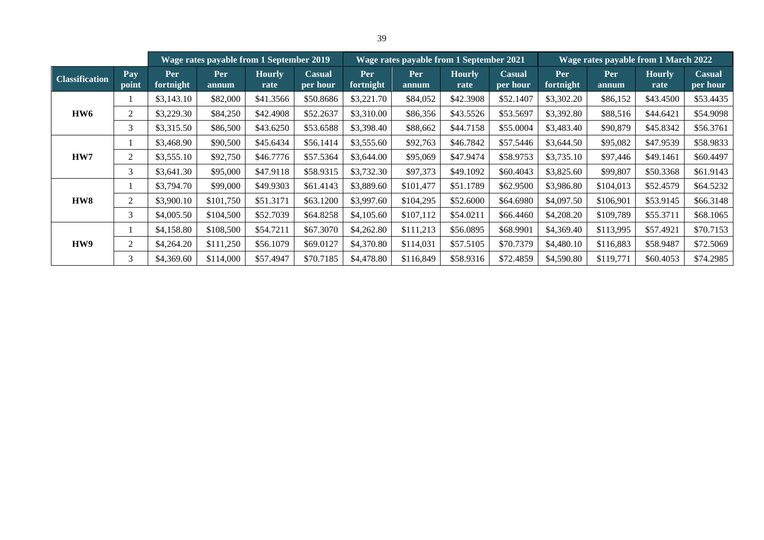|                       |              |                  | Wage rates payable from 1 September 2019 |                       |                    |                  | Wage rates payable from 1 September 2021 |                       |                           |                  | Wage rates payable from 1 March 2022 |                       |                           |
|-----------------------|--------------|------------------|------------------------------------------|-----------------------|--------------------|------------------|------------------------------------------|-----------------------|---------------------------|------------------|--------------------------------------|-----------------------|---------------------------|
| <b>Classification</b> | Pay<br>point | Per<br>fortnight | <b>Per</b><br>annum                      | <b>Hourly</b><br>rate | Casual<br>per hour | Per<br>fortnight | Per<br>annum                             | <b>Hourly</b><br>rate | <b>Casual</b><br>per hour | Per<br>fortnight | Per<br>annum                         | <b>Hourly</b><br>rate | <b>Casual</b><br>per hour |
|                       |              | \$3,143.10       | \$82,000                                 | \$41.3566             | \$50.8686          | \$3,221.70       | \$84,052                                 | \$42.3908             | \$52.1407                 | \$3,302.20       | \$86,152                             | \$43.4500             | \$53.4435                 |
| HW6                   | 2            | \$3,229.30       | \$84,250                                 | \$42.4908             | \$52.2637          | \$3,310.00       | \$86,356                                 | \$43.5526             | \$53.5697                 | \$3,392.80       | \$88,516                             | \$44.6421             | \$54.9098                 |
|                       | 3            | \$3,315.50       | \$86,500                                 | \$43.6250             | \$53.6588          | \$3,398.40       | \$88,662                                 | \$44.7158             | \$55.0004                 | \$3,483.40       | \$90,879                             | \$45.8342             | \$56.3761                 |
|                       |              | \$3,468.90       | \$90,500                                 | \$45.6434             | \$56.1414          | \$3,555.60       | \$92,763                                 | \$46.7842             | \$57.5446                 | \$3,644.50       | \$95,082                             | \$47.9539             | \$58.9833                 |
| HW7                   | 2            | \$3,555.10       | \$92,750                                 | \$46.7776             | \$57.5364          | \$3,644.00       | \$95,069                                 | \$47.9474             | \$58.9753                 | \$3,735.10       | \$97,446                             | \$49.1461             | \$60.4497                 |
|                       | 3            | \$3,641.30       | \$95,000                                 | \$47.9118             | \$58.9315          | \$3,732.30       | \$97,373                                 | \$49.1092             | \$60,4043                 | \$3,825.60       | \$99,807                             | \$50.3368             | \$61.9143                 |
|                       |              | \$3,794.70       | \$99,000                                 | \$49.9303             | \$61.4143          | \$3,889.60       | \$101,477                                | \$51.1789             | \$62.9500                 | \$3,986.80       | \$104,013                            | \$52.4579             | \$64.5232                 |
| HW8                   | 2            | \$3,900.10       | \$101,750                                | \$51.3171             | \$63.1200          | \$3,997.60       | \$104,295                                | \$52.6000             | \$64.6980                 | \$4,097.50       | \$106,901                            | \$53.9145             | \$66.3148                 |
|                       | 3            | \$4,005.50       | \$104,500                                | \$52,7039             | \$64.8258          | \$4,105.60       | \$107,112                                | \$54.0211             | \$66.4460                 | \$4,208.20       | \$109,789                            | \$55.3711             | \$68.1065                 |
|                       |              | \$4,158.80       | \$108,500                                | \$54.7211             | \$67.3070          | \$4,262.80       | \$111,213                                | \$56.0895             | \$68.9901                 | \$4,369.40       | \$113.995                            | \$57.4921             | \$70.7153                 |
| HW9                   | 2            | \$4,264.20       | \$111,250                                | \$56.1079             | \$69.0127          | \$4,370.80       | \$114,031                                | \$57.5105             | \$70.7379                 | \$4,480.10       | \$116,883                            | \$58.9487             | \$72.5069                 |
|                       | 3            | \$4,369.60       | \$114,000                                | \$57.4947             | \$70.7185          | \$4,478.80       | \$116,849                                | \$58.9316             | \$72.4859                 | \$4,590.80       | \$119,771                            | \$60.4053             | \$74.2985                 |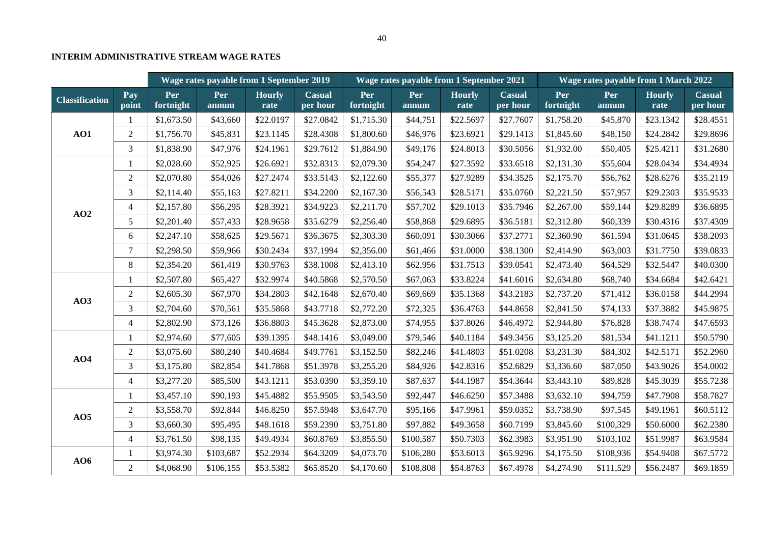# **INTERIM ADMINISTRATIVE STREAM WAGE RATES**

|                       | Wage rates payable from 1 September 2019 |                  |              |                       | Wage rates payable from 1 September 2021 |                  |              |                       | Wage rates payable from 1 March 2022 |                  |              |                       |                    |
|-----------------------|------------------------------------------|------------------|--------------|-----------------------|------------------------------------------|------------------|--------------|-----------------------|--------------------------------------|------------------|--------------|-----------------------|--------------------|
| <b>Classification</b> | Pay<br>point                             | Per<br>fortnight | Per<br>annum | <b>Hourly</b><br>rate | <b>Casual</b><br>per hour                | Per<br>fortnight | Per<br>annum | <b>Hourly</b><br>rate | <b>Casual</b><br>per hour            | Per<br>fortnight | Per<br>annum | <b>Hourly</b><br>rate | Casual<br>per hour |
|                       |                                          | \$1,673.50       | \$43,660     | \$22.0197             | \$27.0842                                | \$1,715.30       | \$44,751     | \$22.5697             | \$27.7607                            | \$1,758.20       | \$45,870     | \$23.1342             | \$28.4551          |
| AO1                   | $\overline{2}$                           | \$1,756.70       | \$45,831     | \$23.1145             | \$28.4308                                | \$1,800.60       | \$46,976     | \$23.6921             | \$29.1413                            | \$1,845.60       | \$48,150     | \$24.2842             | \$29.8696          |
|                       | 3                                        | \$1,838.90       | \$47,976     | \$24.1961             | \$29.7612                                | \$1,884.90       | \$49,176     | \$24.8013             | \$30.5056                            | \$1,932.00       | \$50,405     | \$25.4211             | \$31.2680          |
|                       |                                          | \$2,028.60       | \$52,925     | \$26.6921             | \$32.8313                                | \$2,079.30       | \$54,247     | \$27.3592             | \$33.6518                            | \$2,131.30       | \$55,604     | \$28.0434             | \$34.4934          |
|                       | $\overline{2}$                           | \$2,070.80       | \$54,026     | \$27.2474             | \$33.5143                                | \$2,122.60       | \$55,377     | \$27.9289             | \$34.3525                            | \$2,175.70       | \$56,762     | \$28.6276             | \$35.2119          |
|                       | 3                                        | \$2,114.40       | \$55,163     | \$27.8211             | \$34.2200                                | \$2,167.30       | \$56,543     | \$28.5171             | \$35.0760                            | \$2,221.50       | \$57,957     | \$29.2303             | \$35.9533          |
|                       | $\overline{4}$                           | \$2,157.80       | \$56,295     | \$28.3921             | \$34.9223                                | \$2,211.70       | \$57,702     | \$29.1013             | \$35.7946                            | \$2,267.00       | \$59,144     | \$29.8289             | \$36.6895          |
| AO2                   | 5                                        | \$2,201.40       | \$57,433     | \$28.9658             | \$35.6279                                | \$2,256.40       | \$58,868     | \$29.6895             | \$36.5181                            | \$2,312.80       | \$60,339     | \$30.4316             | \$37.4309          |
|                       | 6                                        | \$2,247.10       | \$58,625     | \$29.5671             | \$36.3675                                | \$2,303.30       | \$60,091     | \$30.3066             | \$37.2771                            | \$2,360.90       | \$61,594     | \$31.0645             | \$38.2093          |
|                       | $\tau$                                   | \$2,298.50       | \$59,966     | \$30.2434             | \$37.1994                                | \$2,356.00       | \$61,466     | \$31.0000             | \$38.1300                            | \$2,414.90       | \$63,003     | \$31.7750             | \$39.0833          |
|                       | 8                                        | \$2,354.20       | \$61,419     | \$30.9763             | \$38.1008                                | \$2,413.10       | \$62,956     | \$31.7513             | \$39.0541                            | \$2,473.40       | \$64,529     | \$32.5447             | \$40.0300          |
|                       | 1                                        | \$2,507.80       | \$65,427     | \$32.9974             | \$40.5868                                | \$2,570.50       | \$67,063     | \$33.8224             | \$41.6016                            | \$2,634.80       | \$68,740     | \$34.6684             | \$42.6421          |
|                       | $\overline{2}$                           | \$2,605.30       | \$67,970     | \$34.2803             | \$42.1648                                | \$2,670.40       | \$69,669     | \$35.1368             | \$43.2183                            | \$2,737.20       | \$71,412     | \$36.0158             | \$44.2994          |
| AO3                   | 3                                        | \$2,704.60       | \$70,561     | \$35.5868             | \$43.7718                                | \$2,772.20       | \$72,325     | \$36.4763             | \$44.8658                            | \$2,841.50       | \$74,133     | \$37.3882             | \$45.9875          |
|                       | $\overline{4}$                           | \$2,802.90       | \$73,126     | \$36.8803             | \$45.3628                                | \$2,873.00       | \$74,955     | \$37.8026             | \$46.4972                            | \$2,944.80       | \$76,828     | \$38.7474             | \$47.6593          |
|                       |                                          | \$2,974.60       | \$77,605     | \$39.1395             | \$48.1416                                | \$3,049.00       | \$79,546     | \$40.1184             | \$49.3456                            | \$3,125.20       | \$81,534     | \$41.1211             | \$50.5790          |
| AO4                   | 2                                        | \$3,075.60       | \$80,240     | \$40.4684             | \$49.7761                                | \$3,152.50       | \$82,246     | \$41.4803             | \$51.0208                            | \$3,231.30       | \$84,302     | \$42.5171             | \$52.2960          |
|                       | $\overline{3}$                           | \$3,175.80       | \$82,854     | \$41.7868             | \$51.3978                                | \$3,255.20       | \$84,926     | \$42.8316             | \$52.6829                            | \$3,336.60       | \$87,050     | \$43.9026             | \$54.0002          |
|                       | $\overline{4}$                           | \$3,277.20       | \$85,500     | \$43.1211             | \$53.0390                                | \$3,359.10       | \$87,637     | \$44.1987             | \$54.3644                            | \$3,443.10       | \$89,828     | \$45.3039             | \$55.7238          |
|                       |                                          | \$3,457.10       | \$90,193     | \$45.4882             | \$55.9505                                | \$3,543.50       | \$92,447     | \$46.6250             | \$57.3488                            | \$3,632.10       | \$94,759     | \$47.7908             | \$58.7827          |
|                       | $\overline{2}$                           | \$3,558.70       | \$92,844     | \$46.8250             | \$57.5948                                | \$3,647.70       | \$95,166     | \$47.9961             | \$59.0352                            | \$3,738.90       | \$97,545     | \$49.1961             | \$60.5112          |
| AO5                   | $\overline{3}$                           | \$3,660.30       | \$95,495     | \$48.1618             | \$59.2390                                | \$3,751.80       | \$97,882     | \$49.3658             | \$60.7199                            | \$3,845.60       | \$100,329    | \$50.6000             | \$62.2380          |
|                       | $\overline{4}$                           | \$3,761.50       | \$98,135     | \$49.4934             | \$60.8769                                | \$3,855.50       | \$100,587    | \$50.7303             | \$62.3983                            | \$3,951.90       | \$103,102    | \$51.9987             | \$63.9584          |
|                       | 1                                        | \$3,974.30       | \$103,687    | \$52.2934             | \$64.3209                                | \$4,073.70       | \$106,280    | \$53.6013             | \$65.9296                            | \$4,175.50       | \$108,936    | \$54.9408             | \$67.5772          |
| AO6                   | $\overline{2}$                           | \$4,068.90       | \$106,155    | \$53.5382             | \$65.8520                                | \$4,170.60       | \$108,808    | \$54.8763             | \$67.4978                            | \$4,274.90       | \$111,529    | \$56.2487             | \$69.1859          |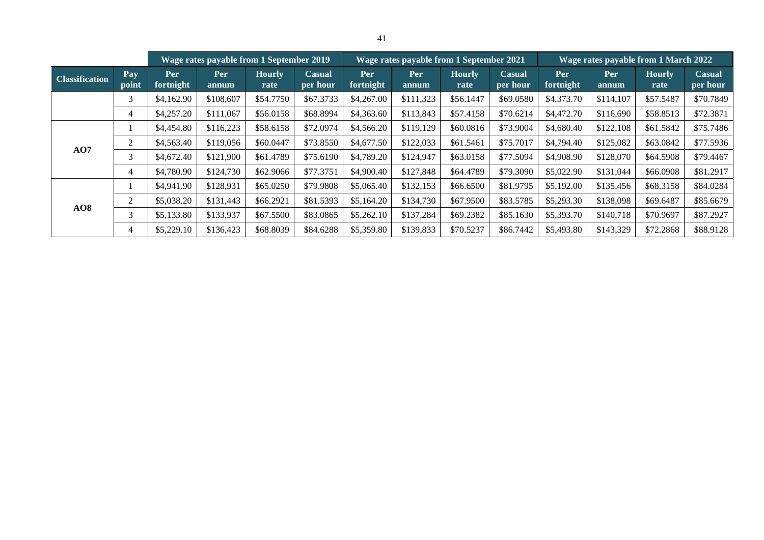|                       |              |                  | Wage rates payable from 1 September 2019 |                       |                           |                  |              | Wage rates payable from 1 September 2021 |                    |                  | Wage rates payable from 1 March 2022 |                       |                           |
|-----------------------|--------------|------------------|------------------------------------------|-----------------------|---------------------------|------------------|--------------|------------------------------------------|--------------------|------------------|--------------------------------------|-----------------------|---------------------------|
| <b>Classification</b> | Pay<br>point | Per<br>fortnight | Per<br>annum                             | <b>Hourly</b><br>rate | <b>Casual</b><br>per hour | Per<br>fortnight | Per<br>annum | <b>Hourly</b><br>rate                    | Casual<br>per hour | Per<br>fortnight | Per<br>annum                         | <b>Hourly</b><br>rate | <b>Casual</b><br>per hour |
|                       | 3            | \$4,162.90       | \$108,607                                | \$54.7750             | \$67.3733                 | \$4,267.00       | \$111,323    | \$56.1447                                | \$69.0580          | \$4,373.70       | \$114,107                            | \$57.5487             | \$70.7849                 |
|                       | 4            | \$4,257.20       | \$111,067                                | \$56.0158             | \$68.8994                 | \$4,363.60       | \$113,843    | \$57.4158                                | \$70.6214          | \$4,472.70       | \$116,690                            | \$58.8513             | \$72.3871                 |
|                       |              | \$4,454.80       | \$116,223                                | \$58.6158             | \$72.0974                 | \$4,566.20       | \$119,129    | \$60.0816                                | \$73.9004          | \$4,680.40       | \$122,108                            | \$61.5842             | \$75.7486                 |
|                       | 2            | \$4,563.40       | \$119,056                                | \$60.0447             | \$73.8550                 | \$4,677.50       | \$122,033    | \$61.5461                                | \$75.7017          | \$4,794.40       | \$125,082                            | \$63.0842             | \$77.5936                 |
| AO7                   | 3            | \$4,672.40       | \$121,900                                | \$61.4789             | \$75.6190                 | \$4,789.20       | \$124,947    | \$63.0158                                | \$77.5094          | \$4,908.90       | \$128,070                            | \$64.5908             | \$79.4467                 |
|                       | 4            | \$4,780.90       | \$124,730                                | \$62.9066             | \$77.3751                 | \$4,900.40       | \$127,848    | \$64.4789                                | \$79.3090          | \$5,022.90       | \$131,044                            | \$66.0908             | \$81.2917                 |
|                       |              | \$4,941.90       | \$128,931                                | \$65.0250             | \$79.9808                 | \$5,065.40       | \$132,153    | \$66.6500                                | \$81.9795          | \$5,192.00       | \$135,456                            | \$68.3158             | \$84.0284                 |
|                       | 2            | \$5,038.20       | \$131,443                                | \$66.2921             | \$81.5393                 | \$5,164.20       | \$134,730    | \$67.9500                                | \$83.5785          | \$5,293.30       | \$138,098                            | \$69.6487             | \$85.6679                 |
| AO8                   | 3            | \$5,133.80       | \$133,937                                | \$67.5500             | \$83.0865                 | \$5,262.10       | \$137,284    | \$69.2382                                | \$85.1630          | \$5,393.70       | \$140,718                            | \$70.9697             | \$87.2927                 |
|                       | 4            | \$5,229.10       | \$136,423                                | \$68.8039             | \$84.6288                 | \$5,359.80       | \$139,833    | \$70.5237                                | \$86.7442          | \$5,493.80       | \$143,329                            | \$72.2868             | \$88.9128                 |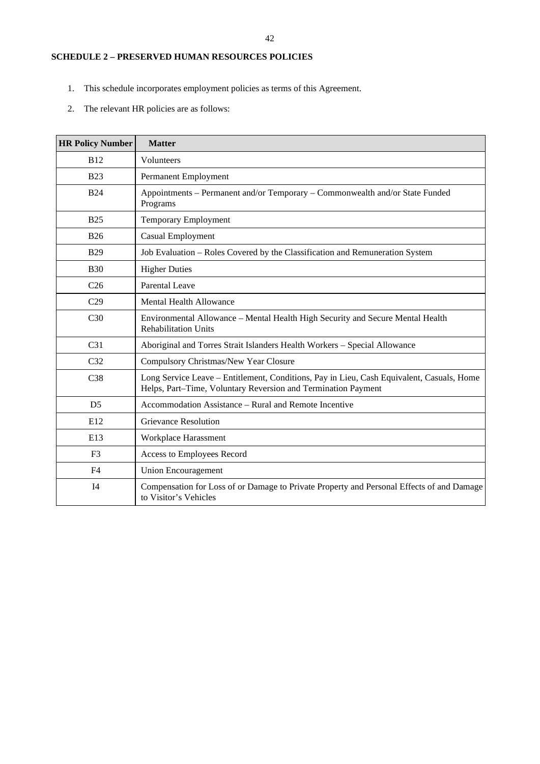# <span id="page-42-0"></span>**SCHEDULE 2 – PRESERVED HUMAN RESOURCES POLICIES**

- 1. This schedule incorporates employment policies as terms of this Agreement.
- 2. The relevant HR policies are as follows:

| <b>HR Policy Number</b> | <b>Matter</b>                                                                                                                                              |
|-------------------------|------------------------------------------------------------------------------------------------------------------------------------------------------------|
| <b>B12</b>              | Volunteers                                                                                                                                                 |
| <b>B23</b>              | Permanent Employment                                                                                                                                       |
| <b>B24</b>              | Appointments - Permanent and/or Temporary - Commonwealth and/or State Funded<br>Programs                                                                   |
| <b>B25</b>              | <b>Temporary Employment</b>                                                                                                                                |
| <b>B26</b>              | <b>Casual Employment</b>                                                                                                                                   |
| <b>B29</b>              | Job Evaluation - Roles Covered by the Classification and Remuneration System                                                                               |
| <b>B30</b>              | <b>Higher Duties</b>                                                                                                                                       |
| C <sub>26</sub>         | Parental Leave                                                                                                                                             |
| C <sub>29</sub>         | Mental Health Allowance                                                                                                                                    |
| C <sub>30</sub>         | Environmental Allowance - Mental Health High Security and Secure Mental Health<br><b>Rehabilitation Units</b>                                              |
| C <sub>31</sub>         | Aboriginal and Torres Strait Islanders Health Workers - Special Allowance                                                                                  |
| C <sub>32</sub>         | Compulsory Christmas/New Year Closure                                                                                                                      |
| C <sub>38</sub>         | Long Service Leave – Entitlement, Conditions, Pay in Lieu, Cash Equivalent, Casuals, Home<br>Helps, Part-Time, Voluntary Reversion and Termination Payment |
| D <sub>5</sub>          | Accommodation Assistance – Rural and Remote Incentive                                                                                                      |
| E12                     | Grievance Resolution                                                                                                                                       |
| E13                     | Workplace Harassment                                                                                                                                       |
| F <sub>3</sub>          | Access to Employees Record                                                                                                                                 |
| F <sub>4</sub>          | <b>Union Encouragement</b>                                                                                                                                 |
| I <sub>4</sub>          | Compensation for Loss of or Damage to Private Property and Personal Effects of and Damage<br>to Visitor's Vehicles                                         |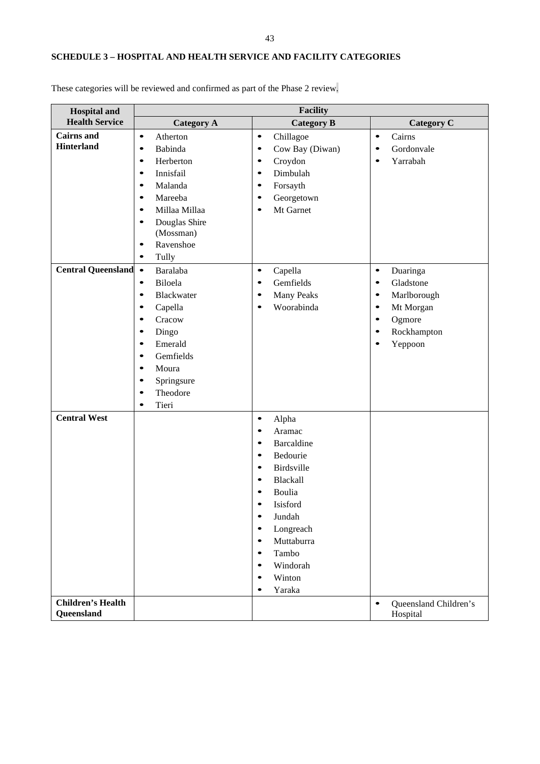# <span id="page-43-0"></span>**SCHEDULE 3 – HOSPITAL AND HEALTH SERVICE AND FACILITY CATEGORIES**

| <b>Hospital and</b>      | <b>Facility</b>            |                              |                                    |  |  |  |  |  |  |  |
|--------------------------|----------------------------|------------------------------|------------------------------------|--|--|--|--|--|--|--|
| <b>Health Service</b>    | <b>Category A</b>          | <b>Category B</b>            | <b>Category C</b>                  |  |  |  |  |  |  |  |
| <b>Cairns</b> and        | $\bullet$<br>Atherton      | Chillagoe<br>$\bullet$       | Cairns<br>$\bullet$                |  |  |  |  |  |  |  |
| <b>Hinterland</b>        | Babinda<br>$\bullet$       | Cow Bay (Diwan)<br>$\bullet$ | Gordonvale                         |  |  |  |  |  |  |  |
|                          | Herberton<br>$\bullet$     | Croydon<br>$\bullet$         | Yarrabah<br>$\bullet$              |  |  |  |  |  |  |  |
|                          | Innisfail<br>$\bullet$     | Dimbulah<br>$\bullet$        |                                    |  |  |  |  |  |  |  |
|                          | Malanda<br>$\bullet$       | Forsayth<br>$\bullet$        |                                    |  |  |  |  |  |  |  |
|                          | Mareeba<br>$\bullet$       | Georgetown<br>٠              |                                    |  |  |  |  |  |  |  |
|                          | Millaa Millaa<br>$\bullet$ | Mt Garnet<br>٠               |                                    |  |  |  |  |  |  |  |
|                          | Douglas Shire<br>$\bullet$ |                              |                                    |  |  |  |  |  |  |  |
|                          | (Mossman)                  |                              |                                    |  |  |  |  |  |  |  |
|                          | Ravenshoe<br>$\bullet$     |                              |                                    |  |  |  |  |  |  |  |
|                          | Tully<br>$\bullet$         |                              |                                    |  |  |  |  |  |  |  |
| Central Queensland       | Baralaba                   | Capella<br>$\bullet$         | Duaringa<br>$\bullet$              |  |  |  |  |  |  |  |
|                          | Biloela<br>$\bullet$       | Gemfields<br>٠               | Gladstone<br>٠                     |  |  |  |  |  |  |  |
|                          | Blackwater<br>٠            | <b>Many Peaks</b><br>٠       | Marlborough<br>٠                   |  |  |  |  |  |  |  |
|                          | Capella<br>٠               | Woorabinda                   | Mt Morgan                          |  |  |  |  |  |  |  |
|                          | Cracow                     |                              | Ogmore                             |  |  |  |  |  |  |  |
|                          | Dingo<br>٠                 |                              | Rockhampton                        |  |  |  |  |  |  |  |
|                          | Emerald<br>$\bullet$       |                              | Yeppoon                            |  |  |  |  |  |  |  |
|                          | Gemfields<br>٠             |                              |                                    |  |  |  |  |  |  |  |
|                          | Moura<br>٠                 |                              |                                    |  |  |  |  |  |  |  |
|                          | Springsure<br>٠            |                              |                                    |  |  |  |  |  |  |  |
|                          | Theodore<br>٠              |                              |                                    |  |  |  |  |  |  |  |
|                          | Tieri<br>٠                 |                              |                                    |  |  |  |  |  |  |  |
| <b>Central West</b>      |                            | Alpha<br>$\bullet$           |                                    |  |  |  |  |  |  |  |
|                          |                            | Aramac<br>$\bullet$          |                                    |  |  |  |  |  |  |  |
|                          |                            | <b>Barcaldine</b><br>٠       |                                    |  |  |  |  |  |  |  |
|                          |                            | Bedourie<br>٠                |                                    |  |  |  |  |  |  |  |
|                          |                            | Birdsville<br>٠              |                                    |  |  |  |  |  |  |  |
|                          |                            | Blackall<br>٠                |                                    |  |  |  |  |  |  |  |
|                          |                            | Boulia<br>٠                  |                                    |  |  |  |  |  |  |  |
|                          |                            | Isisford                     |                                    |  |  |  |  |  |  |  |
|                          |                            | Jundah<br>$\bullet$          |                                    |  |  |  |  |  |  |  |
|                          |                            | Longreach<br>$\bullet$       |                                    |  |  |  |  |  |  |  |
|                          |                            | Muttaburra<br>$\bullet$      |                                    |  |  |  |  |  |  |  |
|                          |                            | Tambo<br>$\bullet$           |                                    |  |  |  |  |  |  |  |
|                          |                            | Windorah<br>$\bullet$        |                                    |  |  |  |  |  |  |  |
|                          |                            | Winton<br>$\bullet$          |                                    |  |  |  |  |  |  |  |
|                          |                            | Yaraka<br>$\bullet$          |                                    |  |  |  |  |  |  |  |
| <b>Children's Health</b> |                            |                              | Queensland Children's<br>$\bullet$ |  |  |  |  |  |  |  |
| Queensland               |                            |                              | Hospital                           |  |  |  |  |  |  |  |

These categories will be reviewed and confirmed as part of the Phase 2 review.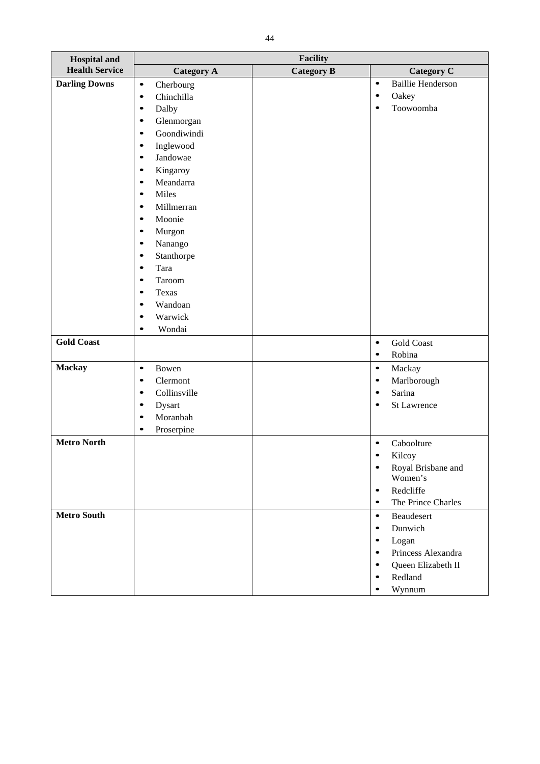| <b>Hospital</b> and   | <b>Facility</b>           |                   |                                       |  |  |  |  |  |  |
|-----------------------|---------------------------|-------------------|---------------------------------------|--|--|--|--|--|--|
| <b>Health Service</b> | <b>Category A</b>         | <b>Category B</b> | <b>Category C</b>                     |  |  |  |  |  |  |
| <b>Darling Downs</b>  | $\bullet$<br>Cherbourg    |                   | <b>Baillie Henderson</b><br>$\bullet$ |  |  |  |  |  |  |
|                       | Chinchilla<br>$\bullet$   |                   | Oakey<br>$\bullet$                    |  |  |  |  |  |  |
|                       | Dalby<br>$\bullet$        |                   | Toowoomba<br>٠                        |  |  |  |  |  |  |
|                       | Glenmorgan<br>$\bullet$   |                   |                                       |  |  |  |  |  |  |
|                       | Goondiwindi<br>$\bullet$  |                   |                                       |  |  |  |  |  |  |
|                       | Inglewood<br>$\bullet$    |                   |                                       |  |  |  |  |  |  |
|                       | Jandowae<br>$\bullet$     |                   |                                       |  |  |  |  |  |  |
|                       | Kingaroy<br>$\bullet$     |                   |                                       |  |  |  |  |  |  |
|                       | Meandarra<br>$\bullet$    |                   |                                       |  |  |  |  |  |  |
|                       | Miles<br>$\bullet$        |                   |                                       |  |  |  |  |  |  |
|                       | Millmerran<br>$\bullet$   |                   |                                       |  |  |  |  |  |  |
|                       | Moonie<br>$\bullet$       |                   |                                       |  |  |  |  |  |  |
|                       | Murgon<br>$\bullet$       |                   |                                       |  |  |  |  |  |  |
|                       | Nanango<br>$\bullet$      |                   |                                       |  |  |  |  |  |  |
|                       | Stanthorpe<br>$\bullet$   |                   |                                       |  |  |  |  |  |  |
|                       | Tara<br>$\bullet$         |                   |                                       |  |  |  |  |  |  |
|                       | $\bullet$                 |                   |                                       |  |  |  |  |  |  |
|                       | Taroom                    |                   |                                       |  |  |  |  |  |  |
|                       | Texas<br>$\bullet$        |                   |                                       |  |  |  |  |  |  |
|                       | Wandoan<br>$\bullet$      |                   |                                       |  |  |  |  |  |  |
|                       | Warwick<br>$\bullet$      |                   |                                       |  |  |  |  |  |  |
|                       | Wondai<br>$\bullet$       |                   |                                       |  |  |  |  |  |  |
| <b>Gold Coast</b>     |                           |                   | <b>Gold Coast</b><br>$\bullet$        |  |  |  |  |  |  |
|                       |                           |                   | Robina<br>$\bullet$                   |  |  |  |  |  |  |
| <b>Mackay</b>         | $\bullet$<br>Bowen        |                   | $\bullet$<br>Mackay                   |  |  |  |  |  |  |
|                       | Clermont<br>$\bullet$     |                   | Marlborough<br>$\bullet$              |  |  |  |  |  |  |
|                       | Collinsville<br>$\bullet$ |                   | Sarina<br>$\bullet$                   |  |  |  |  |  |  |
|                       | Dysart<br>$\bullet$       |                   | St Lawrence                           |  |  |  |  |  |  |
|                       | Moranbah<br>$\bullet$     |                   |                                       |  |  |  |  |  |  |
|                       | Proserpine<br>$\bullet$   |                   |                                       |  |  |  |  |  |  |
| <b>Metro North</b>    |                           |                   | Caboolture<br>٠                       |  |  |  |  |  |  |
|                       |                           |                   | Kilcoy<br>$\bullet$                   |  |  |  |  |  |  |
|                       |                           |                   | Royal Brisbane and<br>$\bullet$       |  |  |  |  |  |  |
|                       |                           |                   | Women's                               |  |  |  |  |  |  |
|                       |                           |                   | Redcliffe<br>$\bullet$                |  |  |  |  |  |  |
|                       |                           |                   | The Prince Charles<br>$\bullet$       |  |  |  |  |  |  |
| <b>Metro South</b>    |                           |                   | Beaudesert<br>$\bullet$               |  |  |  |  |  |  |
|                       |                           |                   | Dunwich<br>$\bullet$                  |  |  |  |  |  |  |
|                       |                           |                   | Logan<br>٠                            |  |  |  |  |  |  |
|                       |                           |                   | Princess Alexandra<br>$\bullet$       |  |  |  |  |  |  |
|                       |                           |                   | Queen Elizabeth II<br>٠               |  |  |  |  |  |  |
|                       |                           |                   | Redland<br>٠                          |  |  |  |  |  |  |
|                       |                           |                   |                                       |  |  |  |  |  |  |
|                       |                           |                   | Wynnum                                |  |  |  |  |  |  |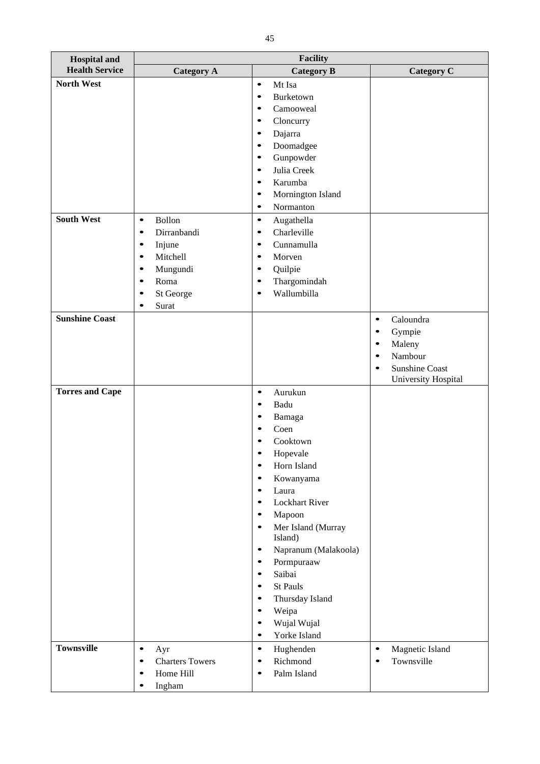| <b>Hospital and</b>    |                                     | Facility                          |                              |  |  |  |  |
|------------------------|-------------------------------------|-----------------------------------|------------------------------|--|--|--|--|
| <b>Health Service</b>  | <b>Category A</b>                   | <b>Category B</b>                 | <b>Category C</b>            |  |  |  |  |
| <b>North West</b>      |                                     | Mt Isa<br>$\bullet$               |                              |  |  |  |  |
|                        |                                     | Burketown<br>$\bullet$            |                              |  |  |  |  |
|                        |                                     | Camooweal<br>$\bullet$            |                              |  |  |  |  |
|                        |                                     | Cloncurry<br>$\bullet$            |                              |  |  |  |  |
|                        |                                     | Dajarra<br>$\bullet$              |                              |  |  |  |  |
|                        |                                     | Doomadgee<br>$\bullet$            |                              |  |  |  |  |
|                        |                                     | Gunpowder<br>$\bullet$            |                              |  |  |  |  |
|                        |                                     | Julia Creek<br>$\bullet$          |                              |  |  |  |  |
|                        |                                     | Karumba<br>$\bullet$              |                              |  |  |  |  |
|                        |                                     | Mornington Island<br>$\bullet$    |                              |  |  |  |  |
|                        |                                     | Normanton<br>$\bullet$            |                              |  |  |  |  |
| <b>South West</b>      | Bollon<br>$\bullet$                 | Augathella<br>$\bullet$           |                              |  |  |  |  |
|                        | Dirranbandi<br>$\bullet$            | Charleville<br>$\bullet$          |                              |  |  |  |  |
|                        | Injune<br>$\bullet$                 | Cunnamulla<br>$\bullet$           |                              |  |  |  |  |
|                        | Mitchell<br>$\bullet$               | Morven<br>$\bullet$               |                              |  |  |  |  |
|                        | Mungundi<br>$\bullet$               | Quilpie<br>٠                      |                              |  |  |  |  |
|                        | Roma<br>$\bullet$                   | Thargomindah<br>$\bullet$         |                              |  |  |  |  |
|                        | St George<br>٠                      | Wallumbilla<br>٠                  |                              |  |  |  |  |
|                        | Surat<br>$\bullet$                  |                                   |                              |  |  |  |  |
| <b>Sunshine Coast</b>  |                                     |                                   | Caloundra<br>$\bullet$       |  |  |  |  |
|                        |                                     |                                   | Gympie<br>٠                  |  |  |  |  |
|                        |                                     |                                   | Maleny<br>$\bullet$          |  |  |  |  |
|                        |                                     |                                   | Nambour                      |  |  |  |  |
|                        |                                     |                                   | <b>Sunshine Coast</b>        |  |  |  |  |
|                        |                                     |                                   | University Hospital          |  |  |  |  |
| <b>Torres and Cape</b> |                                     | Aurukun<br>$\bullet$              |                              |  |  |  |  |
|                        |                                     | Badu                              |                              |  |  |  |  |
|                        |                                     | Bamaga                            |                              |  |  |  |  |
|                        |                                     | Coen                              |                              |  |  |  |  |
|                        |                                     | Cooktown                          |                              |  |  |  |  |
|                        |                                     | Hopevale                          |                              |  |  |  |  |
|                        |                                     | Horn Island<br>٠                  |                              |  |  |  |  |
|                        |                                     | Kowanyama                         |                              |  |  |  |  |
|                        |                                     | Laura<br>٠                        |                              |  |  |  |  |
|                        |                                     | Lockhart River<br>٠               |                              |  |  |  |  |
|                        |                                     | Mapoon<br>٠                       |                              |  |  |  |  |
|                        |                                     | Mer Island (Murray<br>٠           |                              |  |  |  |  |
|                        |                                     | Island)                           |                              |  |  |  |  |
|                        |                                     | Napranum (Malakoola)<br>$\bullet$ |                              |  |  |  |  |
|                        |                                     | Pormpuraaw<br>$\bullet$           |                              |  |  |  |  |
|                        |                                     | Saibai<br>$\bullet$               |                              |  |  |  |  |
|                        |                                     | St Pauls<br>$\bullet$             |                              |  |  |  |  |
|                        |                                     | Thursday Island<br>$\bullet$      |                              |  |  |  |  |
|                        |                                     | Weipa<br>$\bullet$                |                              |  |  |  |  |
|                        |                                     | Wujal Wujal<br>٠                  |                              |  |  |  |  |
|                        |                                     | Yorke Island<br>$\bullet$         |                              |  |  |  |  |
| <b>Townsville</b>      | $\bullet$<br>Ayr                    | $\bullet$<br>Hughenden            | Magnetic Island<br>$\bullet$ |  |  |  |  |
|                        | <b>Charters Towers</b><br>$\bullet$ | Richmond<br>٠                     | Townsville                   |  |  |  |  |
|                        | Home Hill<br>٠                      | Palm Island<br>٠                  |                              |  |  |  |  |
|                        | Ingham<br>$\bullet$                 |                                   |                              |  |  |  |  |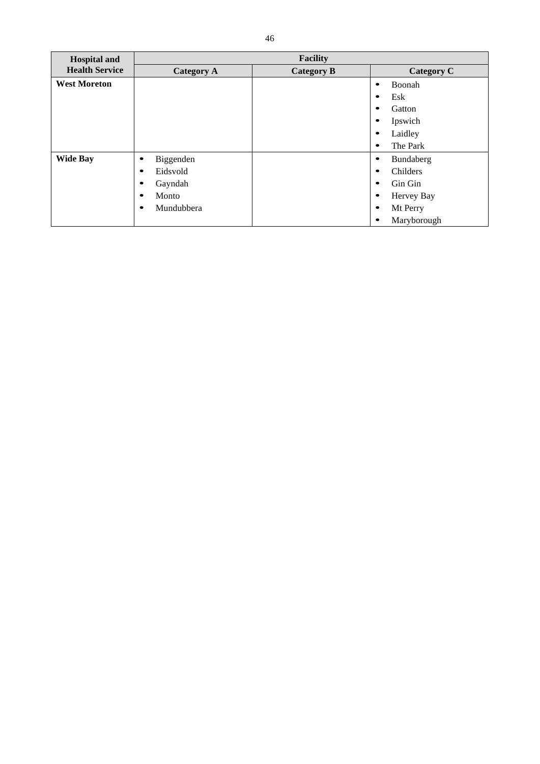| <b>Hospital and</b>   |                        | <b>Facility</b>   |             |
|-----------------------|------------------------|-------------------|-------------|
| <b>Health Service</b> | <b>Category A</b>      | <b>Category B</b> | Category C  |
| <b>West Moreton</b>   |                        |                   | Boonah      |
|                       |                        |                   | Esk         |
|                       |                        |                   | Gatton      |
|                       |                        |                   | Ipswich     |
|                       |                        |                   | Laidley     |
|                       |                        |                   | The Park    |
| <b>Wide Bay</b>       | Biggenden<br>$\bullet$ |                   | Bundaberg   |
|                       | Eidsvold               |                   | Childers    |
|                       | Gayndah                |                   | Gin Gin     |
|                       | Monto<br>$\bullet$     |                   | Hervey Bay  |
|                       | Mundubbera             |                   | Mt Perry    |
|                       |                        |                   | Maryborough |